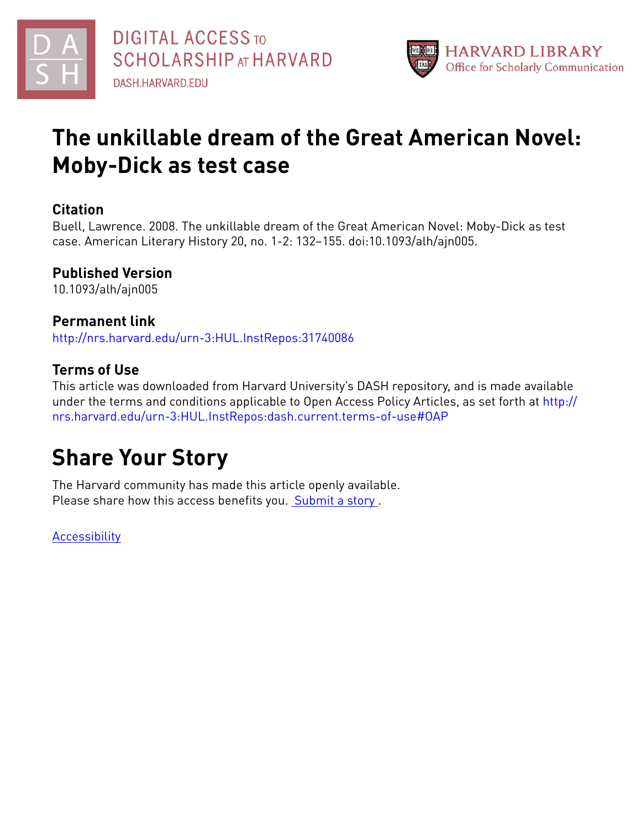



# **The unkillable dream of the Great American Novel: Moby-Dick as test case**

### **Citation**

Buell, Lawrence. 2008. The unkillable dream of the Great American Novel: Moby-Dick as test case. American Literary History 20, no. 1-2: 132–155. doi:10.1093/alh/ajn005.

## **Published Version**

10.1093/alh/ajn005

## **Permanent link**

<http://nrs.harvard.edu/urn-3:HUL.InstRepos:31740086>

## **Terms of Use**

This article was downloaded from Harvard University's DASH repository, and is made available under the terms and conditions applicable to Open Access Policy Articles, as set forth at [http://](http://nrs.harvard.edu/urn-3:HUL.InstRepos:dash.current.terms-of-use#OAP) [nrs.harvard.edu/urn-3:HUL.InstRepos:dash.current.terms-of-use#OAP](http://nrs.harvard.edu/urn-3:HUL.InstRepos:dash.current.terms-of-use#OAP)

# **Share Your Story**

The Harvard community has made this article openly available. Please share how this access benefits you. [Submit](http://osc.hul.harvard.edu/dash/open-access-feedback?handle=&title=The%20unkillable%20dream%20of%20the%20Great%20American%20Novel:%20Moby-Dick%20as%20test%20case&community=1/1&collection=1/2&owningCollection1/2&harvardAuthors=71d4cf2d1a5b62b1b109c7afac3b811f&departmentEnglish%20and%20American%20Literature%20and%20Language) a story.

**[Accessibility](https://dash.harvard.edu/pages/accessibility)**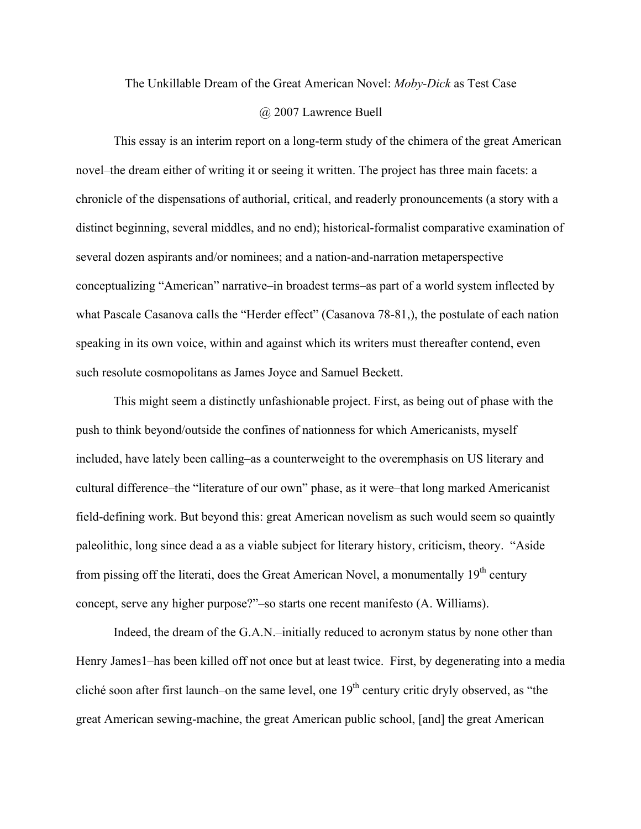# The Unkillable Dream of the Great American Novel: *Moby-Dick* as Test Case

### @ 2007 Lawrence Buell

This essay is an interim report on a long-term study of the chimera of the great American novel–the dream either of writing it or seeing it written. The project has three main facets: a chronicle of the dispensations of authorial, critical, and readerly pronouncements (a story with a distinct beginning, several middles, and no end); historical-formalist comparative examination of several dozen aspirants and/or nominees; and a nation-and-narration metaperspective conceptualizing "American" narrative–in broadest terms–as part of a world system inflected by what Pascale Casanova calls the "Herder effect" (Casanova 78-81,), the postulate of each nation speaking in its own voice, within and against which its writers must thereafter contend, even such resolute cosmopolitans as James Joyce and Samuel Beckett.

This might seem a distinctly unfashionable project. First, as being out of phase with the push to think beyond/outside the confines of nationness for which Americanists, myself included, have lately been calling–as a counterweight to the overemphasis on US literary and cultural difference–the "literature of our own" phase, as it were–that long marked Americanist field-defining work. But beyond this: great American novelism as such would seem so quaintly paleolithic, long since dead a as a viable subject for literary history, criticism, theory. "Aside from pissing off the literati, does the Great American Novel, a monumentally  $19<sup>th</sup>$  century concept, serve any higher purpose?"–so starts one recent manifesto (A. Williams).

Indeed, the dream of the G.A.N.–initially reduced to acronym status by none other than Henry James1–has been killed off not once but at least twice. First, by degenerating into a media cliché soon after first launch–on the same level, one  $19<sup>th</sup>$  century critic dryly observed, as "the great American sewing-machine, the great American public school, [and] the great American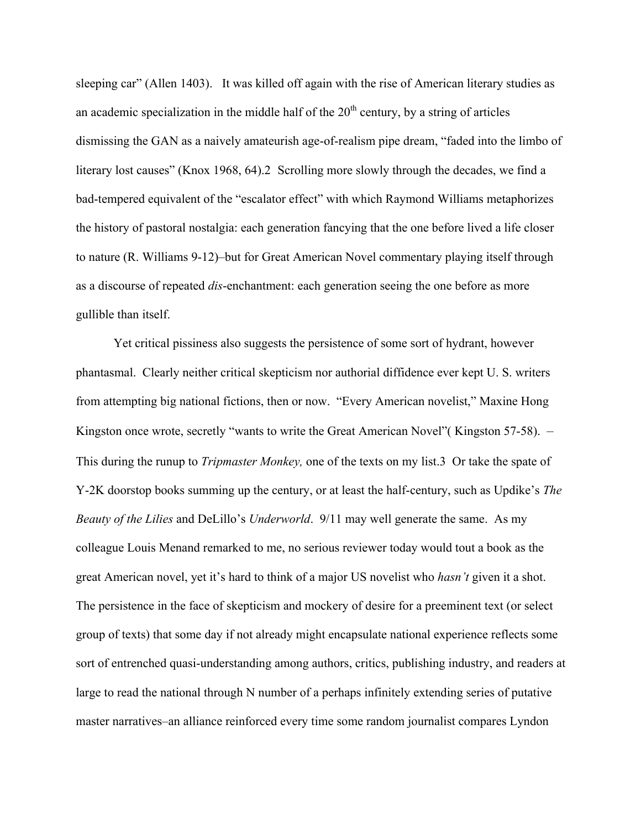sleeping car" (Allen 1403). It was killed off again with the rise of American literary studies as an academic specialization in the middle half of the  $20<sup>th</sup>$  century, by a string of articles dismissing the GAN as a naively amateurish age-of-realism pipe dream, "faded into the limbo of literary lost causes" (Knox 1968, 64).2 Scrolling more slowly through the decades, we find a bad-tempered equivalent of the "escalator effect" with which Raymond Williams metaphorizes the history of pastoral nostalgia: each generation fancying that the one before lived a life closer to nature (R. Williams 9-12)–but for Great American Novel commentary playing itself through as a discourse of repeated *dis*-enchantment: each generation seeing the one before as more gullible than itself.

Yet critical pissiness also suggests the persistence of some sort of hydrant, however phantasmal. Clearly neither critical skepticism nor authorial diffidence ever kept U. S. writers from attempting big national fictions, then or now. "Every American novelist," Maxine Hong Kingston once wrote, secretly "wants to write the Great American Novel" (Kingston 57-58). – This during the runup to *Tripmaster Monkey,* one of the texts on my list.3 Or take the spate of Y-2K doorstop books summing up the century, or at least the half-century, such as Updike's *The Beauty of the Lilies* and DeLillo's *Underworld*. 9/11 may well generate the same. As my colleague Louis Menand remarked to me, no serious reviewer today would tout a book as the great American novel, yet it's hard to think of a major US novelist who *hasn't* given it a shot. The persistence in the face of skepticism and mockery of desire for a preeminent text (or select group of texts) that some day if not already might encapsulate national experience reflects some sort of entrenched quasi-understanding among authors, critics, publishing industry, and readers at large to read the national through N number of a perhaps infinitely extending series of putative master narratives–an alliance reinforced every time some random journalist compares Lyndon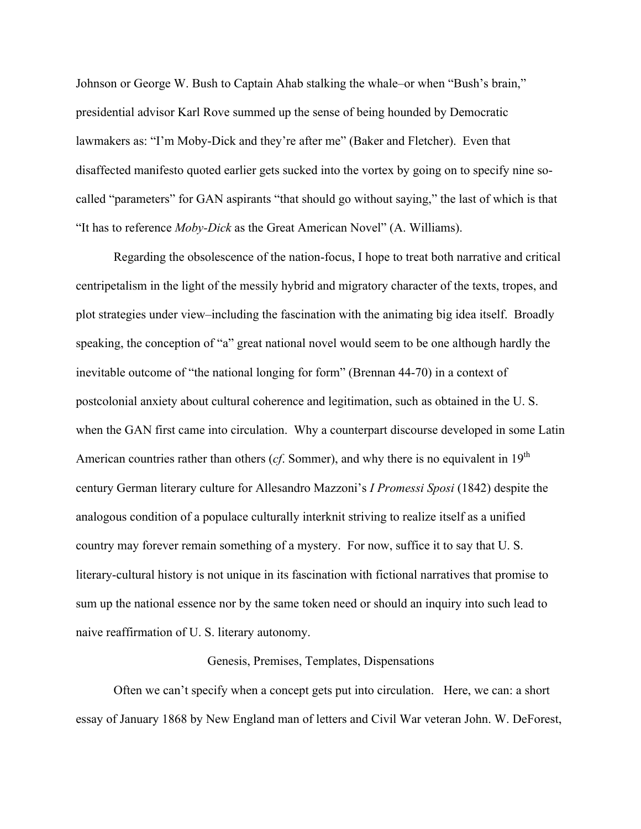Johnson or George W. Bush to Captain Ahab stalking the whale–or when "Bush's brain," presidential advisor Karl Rove summed up the sense of being hounded by Democratic lawmakers as: "I'm Moby-Dick and they're after me" (Baker and Fletcher). Even that disaffected manifesto quoted earlier gets sucked into the vortex by going on to specify nine socalled "parameters" for GAN aspirants "that should go without saying," the last of which is that "It has to reference *Moby-Dick* as the Great American Novel" (A. Williams).

Regarding the obsolescence of the nation-focus, I hope to treat both narrative and critical centripetalism in the light of the messily hybrid and migratory character of the texts, tropes, and plot strategies under view–including the fascination with the animating big idea itself. Broadly speaking, the conception of "a" great national novel would seem to be one although hardly the inevitable outcome of "the national longing for form" (Brennan 44-70) in a context of postcolonial anxiety about cultural coherence and legitimation, such as obtained in the U. S. when the GAN first came into circulation. Why a counterpart discourse developed in some Latin American countries rather than others (*cf*. Sommer), and why there is no equivalent in 19<sup>th</sup> century German literary culture for Allesandro Mazzoni's *I Promessi Sposi* (1842) despite the analogous condition of a populace culturally interknit striving to realize itself as a unified country may forever remain something of a mystery. For now, suffice it to say that U. S. literary-cultural history is not unique in its fascination with fictional narratives that promise to sum up the national essence nor by the same token need or should an inquiry into such lead to naive reaffirmation of U. S. literary autonomy.

### Genesis, Premises, Templates, Dispensations

Often we can't specify when a concept gets put into circulation. Here, we can: a short essay of January 1868 by New England man of letters and Civil War veteran John. W. DeForest,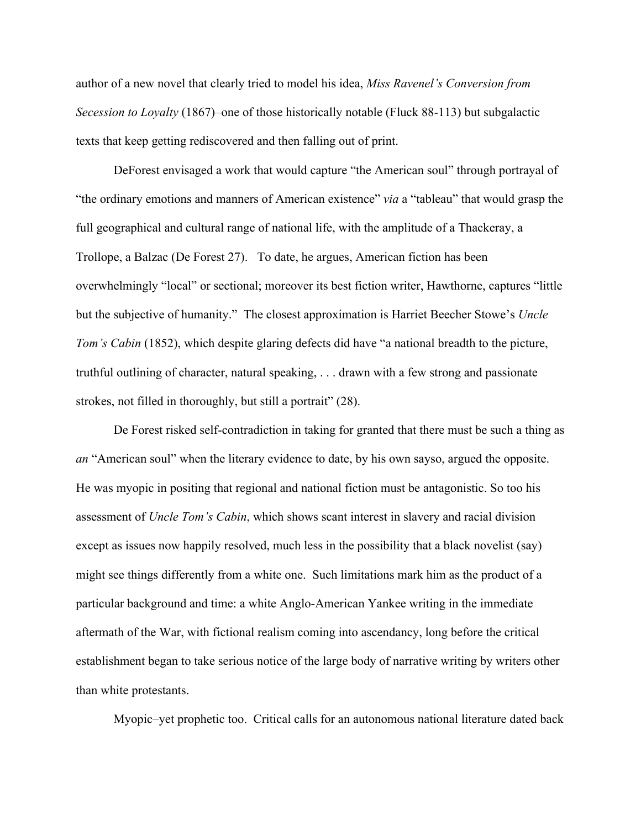author of a new novel that clearly tried to model his idea, *Miss Ravenel's Conversion from Secession to Loyalty* (1867)–one of those historically notable (Fluck 88-113) but subgalactic texts that keep getting rediscovered and then falling out of print.

DeForest envisaged a work that would capture "the American soul" through portrayal of "the ordinary emotions and manners of American existence" *via* a "tableau" that would grasp the full geographical and cultural range of national life, with the amplitude of a Thackeray, a Trollope, a Balzac (De Forest 27). To date, he argues, American fiction has been overwhelmingly "local" or sectional; moreover its best fiction writer, Hawthorne, captures "little but the subjective of humanity." The closest approximation is Harriet Beecher Stowe's *Uncle Tom's Cabin* (1852), which despite glaring defects did have "a national breadth to the picture, truthful outlining of character, natural speaking, . . . drawn with a few strong and passionate strokes, not filled in thoroughly, but still a portrait" (28).

De Forest risked self-contradiction in taking for granted that there must be such a thing as *an* "American soul" when the literary evidence to date, by his own sayso, argued the opposite. He was myopic in positing that regional and national fiction must be antagonistic. So too his assessment of *Uncle Tom's Cabin*, which shows scant interest in slavery and racial division except as issues now happily resolved, much less in the possibility that a black novelist (say) might see things differently from a white one. Such limitations mark him as the product of a particular background and time: a white Anglo-American Yankee writing in the immediate aftermath of the War, with fictional realism coming into ascendancy, long before the critical establishment began to take serious notice of the large body of narrative writing by writers other than white protestants.

Myopic–yet prophetic too. Critical calls for an autonomous national literature dated back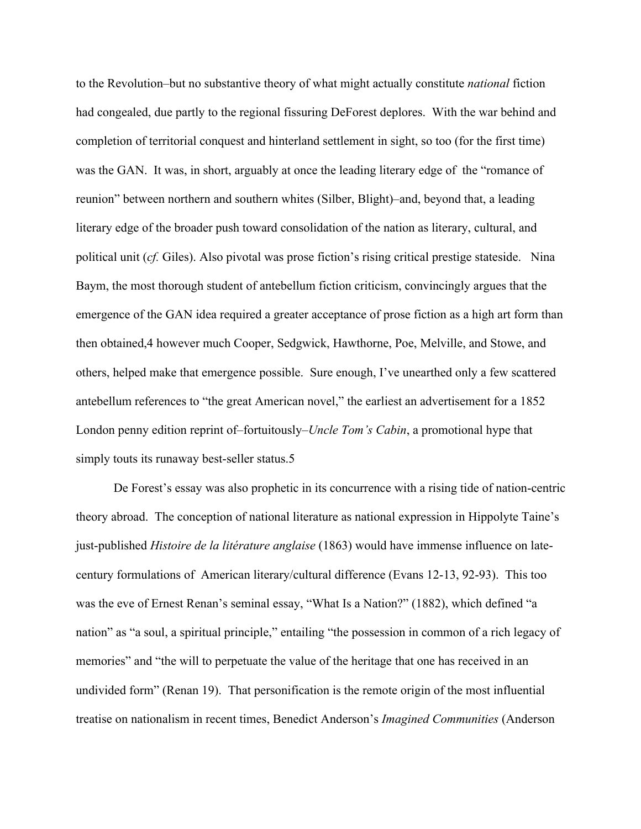to the Revolution–but no substantive theory of what might actually constitute *national* fiction had congealed, due partly to the regional fissuring DeForest deplores. With the war behind and completion of territorial conquest and hinterland settlement in sight, so too (for the first time) was the GAN. It was, in short, arguably at once the leading literary edge of the "romance of reunion" between northern and southern whites (Silber, Blight)–and, beyond that, a leading literary edge of the broader push toward consolidation of the nation as literary, cultural, and political unit (*cf.* Giles). Also pivotal was prose fiction's rising critical prestige stateside. Nina Baym, the most thorough student of antebellum fiction criticism, convincingly argues that the emergence of the GAN idea required a greater acceptance of prose fiction as a high art form than then obtained,4 however much Cooper, Sedgwick, Hawthorne, Poe, Melville, and Stowe, and others, helped make that emergence possible. Sure enough, I've unearthed only a few scattered antebellum references to "the great American novel," the earliest an advertisement for a 1852 London penny edition reprint of–fortuitously–*Uncle Tom's Cabin*, a promotional hype that simply touts its runaway best-seller status.5

De Forest's essay was also prophetic in its concurrence with a rising tide of nation-centric theory abroad. The conception of national literature as national expression in Hippolyte Taine's just-published *Histoire de la litérature anglaise* (1863) would have immense influence on latecentury formulations of American literary/cultural difference (Evans 12-13, 92-93). This too was the eve of Ernest Renan's seminal essay, "What Is a Nation?" (1882), which defined "a nation" as "a soul, a spiritual principle," entailing "the possession in common of a rich legacy of memories" and "the will to perpetuate the value of the heritage that one has received in an undivided form" (Renan 19). That personification is the remote origin of the most influential treatise on nationalism in recent times, Benedict Anderson's *Imagined Communities* (Anderson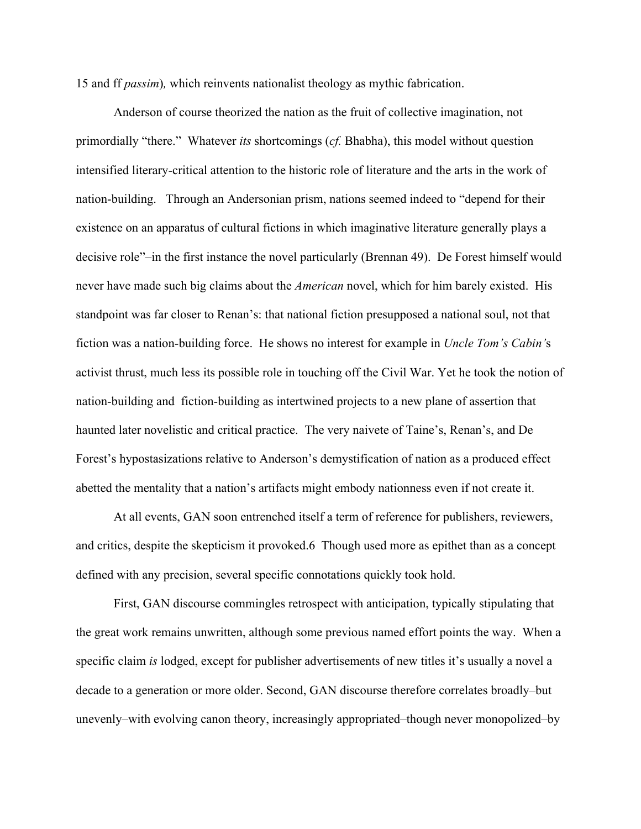15 and ff *passim*)*,* which reinvents nationalist theology as mythic fabrication.

Anderson of course theorized the nation as the fruit of collective imagination, not primordially "there." Whatever *its* shortcomings (*cf.* Bhabha), this model without question intensified literary-critical attention to the historic role of literature and the arts in the work of nation-building. Through an Andersonian prism, nations seemed indeed to "depend for their existence on an apparatus of cultural fictions in which imaginative literature generally plays a decisive role"–in the first instance the novel particularly (Brennan 49). De Forest himself would never have made such big claims about the *American* novel, which for him barely existed. His standpoint was far closer to Renan's: that national fiction presupposed a national soul, not that fiction was a nation-building force. He shows no interest for example in *Uncle Tom's Cabin'*s activist thrust, much less its possible role in touching off the Civil War. Yet he took the notion of nation-building and fiction-building as intertwined projects to a new plane of assertion that haunted later novelistic and critical practice. The very naivete of Taine's, Renan's, and De Forest's hypostasizations relative to Anderson's demystification of nation as a produced effect abetted the mentality that a nation's artifacts might embody nationness even if not create it.

At all events, GAN soon entrenched itself a term of reference for publishers, reviewers, and critics, despite the skepticism it provoked.6 Though used more as epithet than as a concept defined with any precision, several specific connotations quickly took hold.

First, GAN discourse commingles retrospect with anticipation, typically stipulating that the great work remains unwritten, although some previous named effort points the way. When a specific claim *is* lodged, except for publisher advertisements of new titles it's usually a novel a decade to a generation or more older. Second, GAN discourse therefore correlates broadly–but unevenly–with evolving canon theory, increasingly appropriated–though never monopolized–by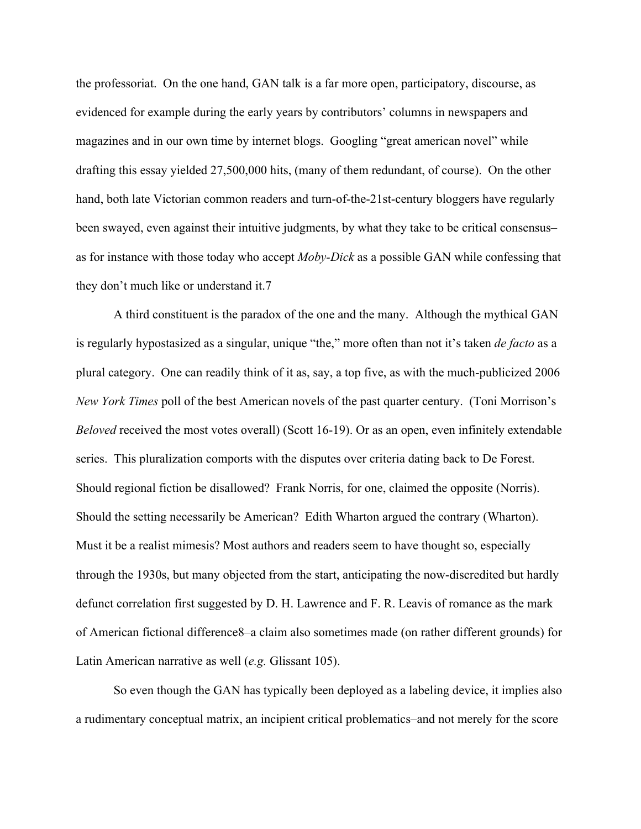the professoriat. On the one hand, GAN talk is a far more open, participatory, discourse, as evidenced for example during the early years by contributors' columns in newspapers and magazines and in our own time by internet blogs. Googling "great american novel" while drafting this essay yielded 27,500,000 hits, (many of them redundant, of course). On the other hand, both late Victorian common readers and turn-of-the-21st-century bloggers have regularly been swayed, even against their intuitive judgments, by what they take to be critical consensus– as for instance with those today who accept *Moby-Dick* as a possible GAN while confessing that they don't much like or understand it.7

A third constituent is the paradox of the one and the many. Although the mythical GAN is regularly hypostasized as a singular, unique "the," more often than not it's taken *de facto* as a plural category. One can readily think of it as, say, a top five, as with the much-publicized 2006 *New York Times* poll of the best American novels of the past quarter century. (Toni Morrison's *Beloved* received the most votes overall) (Scott 16-19). Or as an open, even infinitely extendable series. This pluralization comports with the disputes over criteria dating back to De Forest. Should regional fiction be disallowed? Frank Norris, for one, claimed the opposite (Norris). Should the setting necessarily be American? Edith Wharton argued the contrary (Wharton). Must it be a realist mimesis? Most authors and readers seem to have thought so, especially through the 1930s, but many objected from the start, anticipating the now-discredited but hardly defunct correlation first suggested by D. H. Lawrence and F. R. Leavis of romance as the mark of American fictional difference8–a claim also sometimes made (on rather different grounds) for Latin American narrative as well (*e.g.* Glissant 105).

So even though the GAN has typically been deployed as a labeling device, it implies also a rudimentary conceptual matrix, an incipient critical problematics–and not merely for the score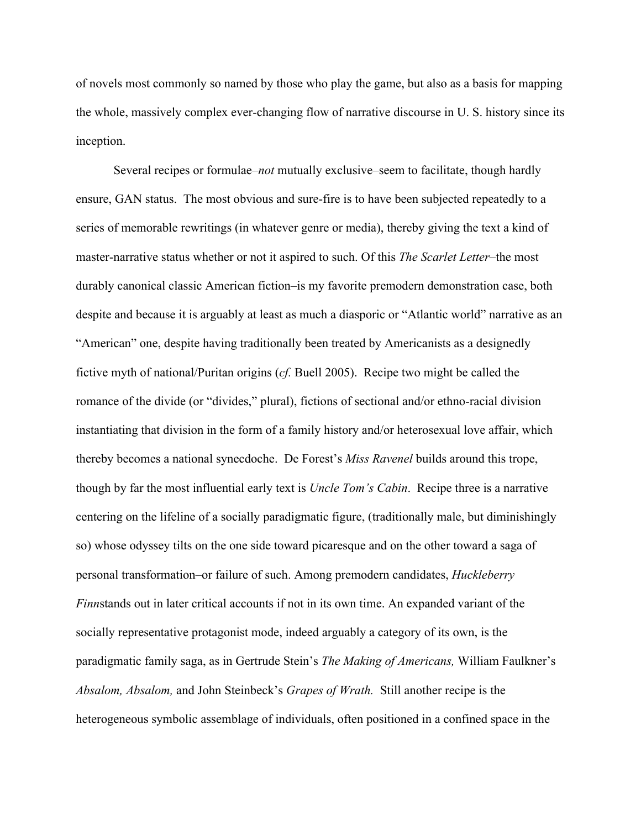of novels most commonly so named by those who play the game, but also as a basis for mapping the whole, massively complex ever-changing flow of narrative discourse in U. S. history since its inception.

Several recipes or formulae–*not* mutually exclusive–seem to facilitate, though hardly ensure, GAN status. The most obvious and sure-fire is to have been subjected repeatedly to a series of memorable rewritings (in whatever genre or media), thereby giving the text a kind of master-narrative status whether or not it aspired to such. Of this *The Scarlet Letter–*the most durably canonical classic American fiction–is my favorite premodern demonstration case, both despite and because it is arguably at least as much a diasporic or "Atlantic world" narrative as an "American" one, despite having traditionally been treated by Americanists as a designedly fictive myth of national/Puritan origins (*cf.* Buell 2005). Recipe two might be called the romance of the divide (or "divides," plural), fictions of sectional and/or ethno-racial division instantiating that division in the form of a family history and/or heterosexual love affair, which thereby becomes a national synecdoche. De Forest's *Miss Ravenel* builds around this trope, though by far the most influential early text is *Uncle Tom's Cabin*. Recipe three is a narrative centering on the lifeline of a socially paradigmatic figure, (traditionally male, but diminishingly so) whose odyssey tilts on the one side toward picaresque and on the other toward a saga of personal transformation–or failure of such. Among premodern candidates, *Huckleberry Finn*stands out in later critical accounts if not in its own time. An expanded variant of the socially representative protagonist mode, indeed arguably a category of its own, is the paradigmatic family saga, as in Gertrude Stein's *The Making of Americans,* William Faulkner's *Absalom, Absalom,* and John Steinbeck's *Grapes of Wrath.* Still another recipe is the heterogeneous symbolic assemblage of individuals, often positioned in a confined space in the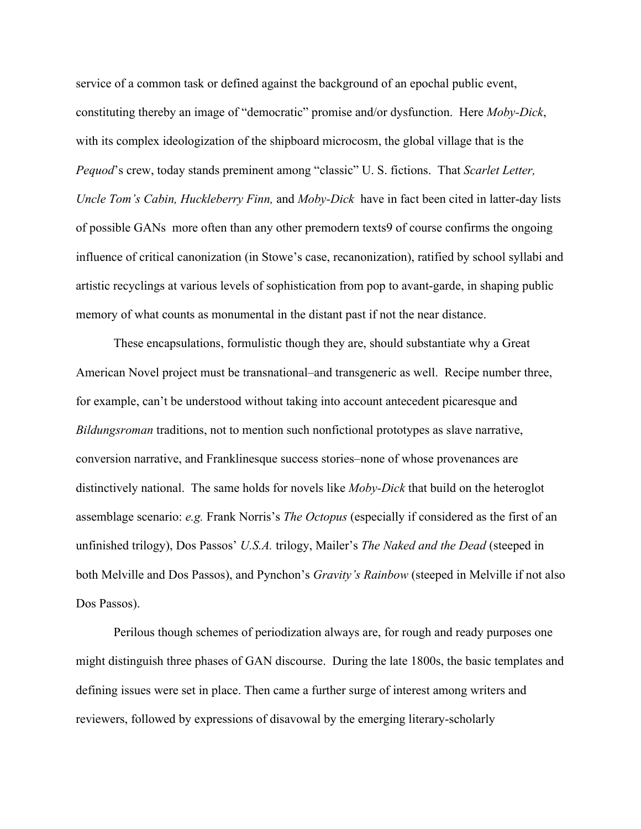service of a common task or defined against the background of an epochal public event, constituting thereby an image of "democratic" promise and/or dysfunction. Here *Moby-Dick*, with its complex ideologization of the shipboard microcosm, the global village that is the *Pequod*'s crew, today stands preminent among "classic" U. S. fictions. That *Scarlet Letter, Uncle Tom's Cabin, Huckleberry Finn,* and *Moby-Dick* have in fact been cited in latter-day lists of possible GANs more often than any other premodern texts9 of course confirms the ongoing influence of critical canonization (in Stowe's case, recanonization), ratified by school syllabi and artistic recyclings at various levels of sophistication from pop to avant-garde, in shaping public memory of what counts as monumental in the distant past if not the near distance.

These encapsulations, formulistic though they are, should substantiate why a Great American Novel project must be transnational–and transgeneric as well. Recipe number three, for example, can't be understood without taking into account antecedent picaresque and *Bildungsroman* traditions, not to mention such nonfictional prototypes as slave narrative, conversion narrative, and Franklinesque success stories–none of whose provenances are distinctively national. The same holds for novels like *Moby-Dick* that build on the heteroglot assemblage scenario: *e.g.* Frank Norris's *The Octopus* (especially if considered as the first of an unfinished trilogy), Dos Passos' *U.S.A.* trilogy, Mailer's *The Naked and the Dead* (steeped in both Melville and Dos Passos), and Pynchon's *Gravity's Rainbow* (steeped in Melville if not also Dos Passos).

Perilous though schemes of periodization always are, for rough and ready purposes one might distinguish three phases of GAN discourse. During the late 1800s, the basic templates and defining issues were set in place. Then came a further surge of interest among writers and reviewers, followed by expressions of disavowal by the emerging literary-scholarly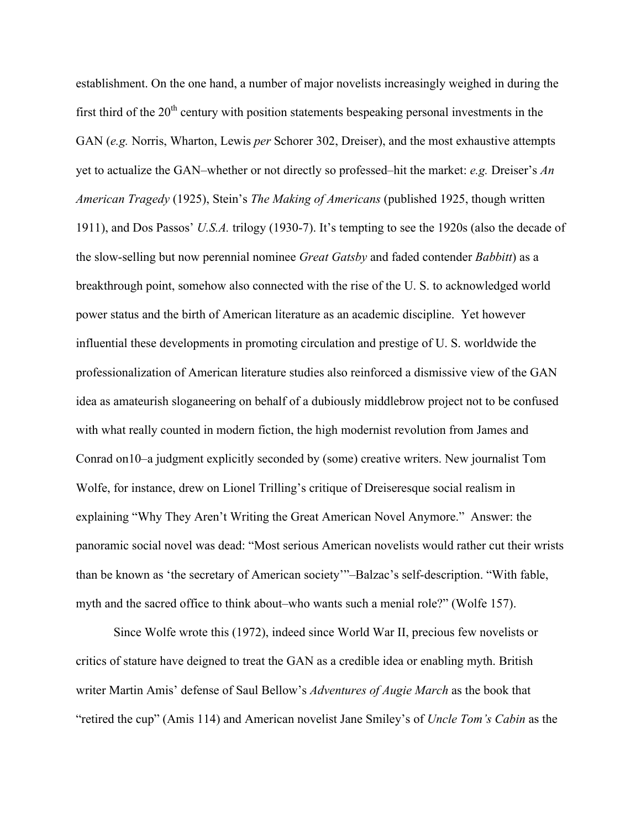establishment. On the one hand, a number of major novelists increasingly weighed in during the first third of the  $20<sup>th</sup>$  century with position statements bespeaking personal investments in the GAN (*e.g.* Norris, Wharton, Lewis *per* Schorer 302, Dreiser), and the most exhaustive attempts yet to actualize the GAN–whether or not directly so professed–hit the market: *e.g.* Dreiser's *An American Tragedy* (1925), Stein's *The Making of Americans* (published 1925, though written 1911), and Dos Passos' *U.S.A.* trilogy (1930-7). It's tempting to see the 1920s (also the decade of the slow-selling but now perennial nominee *Great Gatsby* and faded contender *Babbitt*) as a breakthrough point, somehow also connected with the rise of the U. S. to acknowledged world power status and the birth of American literature as an academic discipline. Yet however influential these developments in promoting circulation and prestige of U. S. worldwide the professionalization of American literature studies also reinforced a dismissive view of the GAN idea as amateurish sloganeering on behalf of a dubiously middlebrow project not to be confused with what really counted in modern fiction, the high modernist revolution from James and Conrad on10–a judgment explicitly seconded by (some) creative writers. New journalist Tom Wolfe, for instance, drew on Lionel Trilling's critique of Dreiseresque social realism in explaining "Why They Aren't Writing the Great American Novel Anymore." Answer: the panoramic social novel was dead: "Most serious American novelists would rather cut their wrists than be known as 'the secretary of American society'"–Balzac's self-description. "With fable, myth and the sacred office to think about–who wants such a menial role?" (Wolfe 157).

Since Wolfe wrote this (1972), indeed since World War II, precious few novelists or critics of stature have deigned to treat the GAN as a credible idea or enabling myth. British writer Martin Amis' defense of Saul Bellow's *Adventures of Augie March* as the book that "retired the cup" (Amis 114) and American novelist Jane Smiley's of *Uncle Tom's Cabin* as the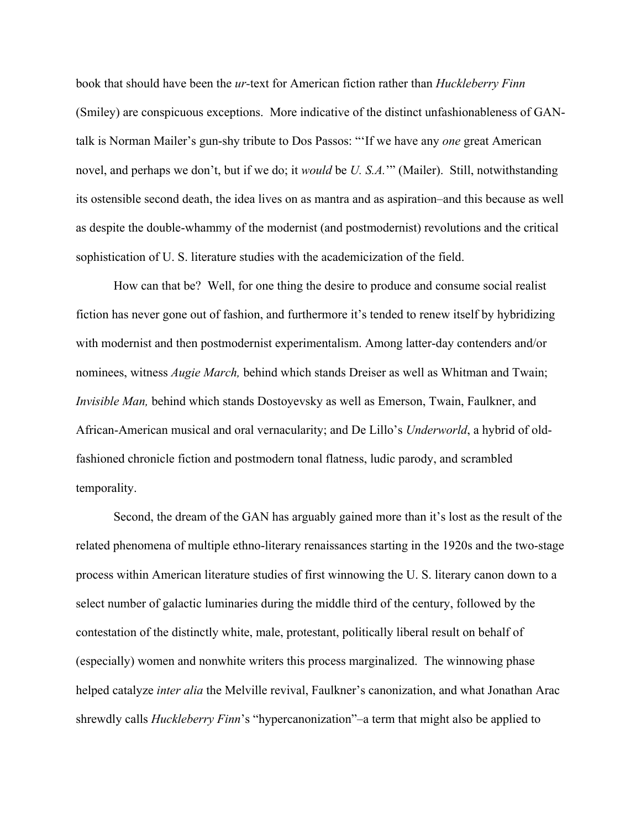book that should have been the *ur-*text for American fiction rather than *Huckleberry Finn* (Smiley) are conspicuous exceptions. More indicative of the distinct unfashionableness of GANtalk is Norman Mailer's gun-shy tribute to Dos Passos: "'If we have any *one* great American novel, and perhaps we don't, but if we do; it *would* be *U. S.A.*'" (Mailer). Still, notwithstanding its ostensible second death, the idea lives on as mantra and as aspiration–and this because as well as despite the double-whammy of the modernist (and postmodernist) revolutions and the critical sophistication of U. S. literature studies with the academicization of the field.

How can that be? Well, for one thing the desire to produce and consume social realist fiction has never gone out of fashion, and furthermore it's tended to renew itself by hybridizing with modernist and then postmodernist experimentalism. Among latter-day contenders and/or nominees, witness *Augie March,* behind which stands Dreiser as well as Whitman and Twain; *Invisible Man, behind which stands Dostoyevsky as well as Emerson, Twain, Faulkner, and* African-American musical and oral vernacularity; and De Lillo's *Underworld*, a hybrid of oldfashioned chronicle fiction and postmodern tonal flatness, ludic parody, and scrambled temporality.

Second, the dream of the GAN has arguably gained more than it's lost as the result of the related phenomena of multiple ethno-literary renaissances starting in the 1920s and the two-stage process within American literature studies of first winnowing the U. S. literary canon down to a select number of galactic luminaries during the middle third of the century, followed by the contestation of the distinctly white, male, protestant, politically liberal result on behalf of (especially) women and nonwhite writers this process marginalized. The winnowing phase helped catalyze *inter alia* the Melville revival, Faulkner's canonization, and what Jonathan Arac shrewdly calls *Huckleberry Finn*'s "hypercanonization"–a term that might also be applied to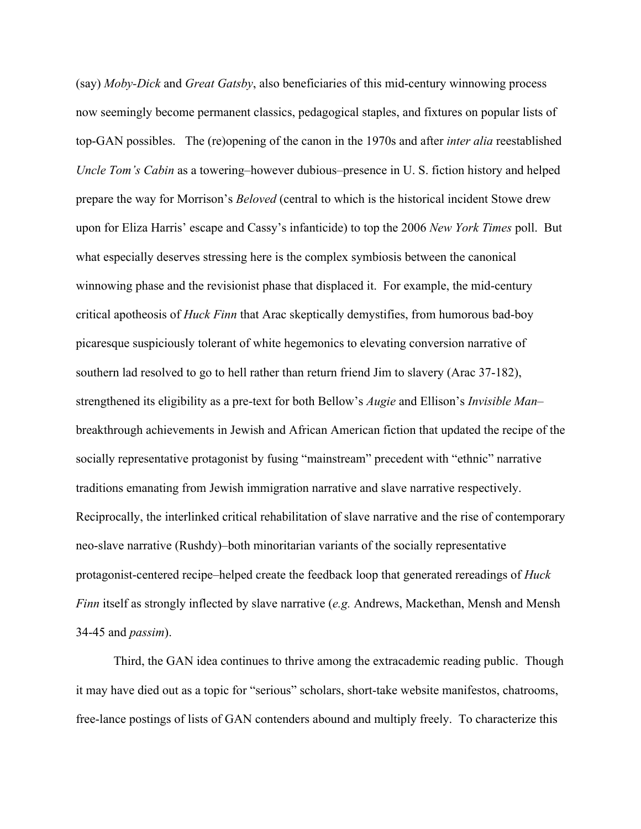(say) *Moby-Dick* and *Great Gatsby*, also beneficiaries of this mid-century winnowing process now seemingly become permanent classics, pedagogical staples, and fixtures on popular lists of top-GAN possibles. The (re)opening of the canon in the 1970s and after *inter alia* reestablished *Uncle Tom's Cabin* as a towering–however dubious–presence in U. S. fiction history and helped prepare the way for Morrison's *Beloved* (central to which is the historical incident Stowe drew upon for Eliza Harris' escape and Cassy's infanticide) to top the 2006 *New York Times* poll. But what especially deserves stressing here is the complex symbiosis between the canonical winnowing phase and the revisionist phase that displaced it. For example, the mid-century critical apotheosis of *Huck Finn* that Arac skeptically demystifies, from humorous bad-boy picaresque suspiciously tolerant of white hegemonics to elevating conversion narrative of southern lad resolved to go to hell rather than return friend Jim to slavery (Arac 37-182), strengthened its eligibility as a pre-text for both Bellow's *Augie* and Ellison's *Invisible Man*– breakthrough achievements in Jewish and African American fiction that updated the recipe of the socially representative protagonist by fusing "mainstream" precedent with "ethnic" narrative traditions emanating from Jewish immigration narrative and slave narrative respectively. Reciprocally, the interlinked critical rehabilitation of slave narrative and the rise of contemporary neo-slave narrative (Rushdy)–both minoritarian variants of the socially representative protagonist-centered recipe–helped create the feedback loop that generated rereadings of *Huck Finn* itself as strongly inflected by slave narrative (*e.g.* Andrews, Mackethan, Mensh and Mensh 34-45 and *passim*).

Third, the GAN idea continues to thrive among the extracademic reading public. Though it may have died out as a topic for "serious" scholars, short-take website manifestos, chatrooms, free-lance postings of lists of GAN contenders abound and multiply freely. To characterize this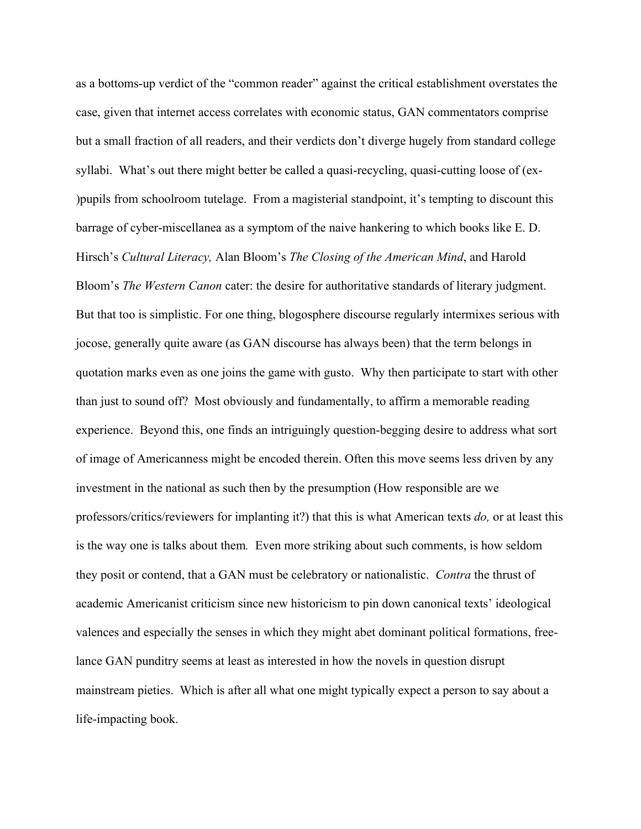as a bottoms-up verdict of the "common reader" against the critical establishment overstates the case, given that internet access correlates with economic status, GAN commentators comprise but a small fraction of all readers, and their verdicts don't diverge hugely from standard college syllabi. What's out there might better be called a quasi-recycling, quasi-cutting loose of (ex- )pupils from schoolroom tutelage. From a magisterial standpoint, it's tempting to discount this barrage of cyber-miscellanea as a symptom of the naive hankering to which books like E. D. Hirsch's *Cultural Literacy,* Alan Bloom's *The Closing of the American Mind*, and Harold Bloom's *The Western Canon* cater: the desire for authoritative standards of literary judgment. But that too is simplistic. For one thing, blogosphere discourse regularly intermixes serious with jocose, generally quite aware (as GAN discourse has always been) that the term belongs in quotation marks even as one joins the game with gusto. Why then participate to start with other than just to sound off? Most obviously and fundamentally, to affirm a memorable reading experience. Beyond this, one finds an intriguingly question-begging desire to address what sort of image of Americanness might be encoded therein. Often this move seems less driven by any investment in the national as such then by the presumption (How responsible are we professors/critics/reviewers for implanting it?) that this is what American texts *do,* or at least this is the way one is talks about them*.* Even more striking about such comments, is how seldom they posit or contend, that a GAN must be celebratory or nationalistic. *Contra* the thrust of academic Americanist criticism since new historicism to pin down canonical texts' ideological valences and especially the senses in which they might abet dominant political formations, freelance GAN punditry seems at least as interested in how the novels in question disrupt mainstream pieties. Which is after all what one might typically expect a person to say about a life-impacting book.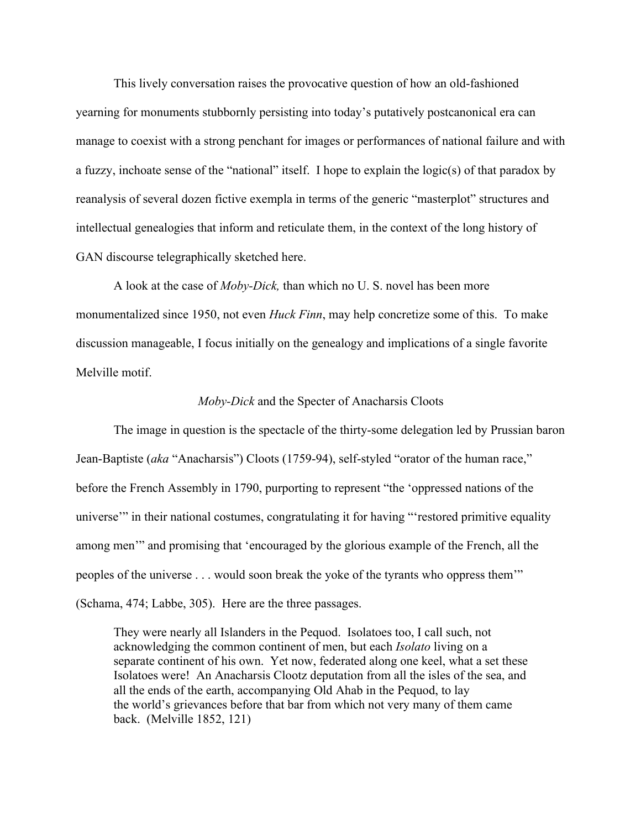This lively conversation raises the provocative question of how an old-fashioned yearning for monuments stubbornly persisting into today's putatively postcanonical era can manage to coexist with a strong penchant for images or performances of national failure and with a fuzzy, inchoate sense of the "national" itself. I hope to explain the logic(s) of that paradox by reanalysis of several dozen fictive exempla in terms of the generic "masterplot" structures and intellectual genealogies that inform and reticulate them, in the context of the long history of GAN discourse telegraphically sketched here.

A look at the case of *Moby-Dick,* than which no U. S. novel has been more monumentalized since 1950, not even *Huck Finn*, may help concretize some of this.To make discussion manageable, I focus initially on the genealogy and implications of a single favorite Melville motif.

#### *Moby-Dick* and the Specter of Anacharsis Cloots

The image in question is the spectacle of the thirty-some delegation led by Prussian baron Jean-Baptiste (*aka* "Anacharsis") Cloots (1759-94), self-styled "orator of the human race," before the French Assembly in 1790, purporting to represent "the 'oppressed nations of the universe'" in their national costumes, congratulating it for having "'restored primitive equality among men'" and promising that 'encouraged by the glorious example of the French, all the peoples of the universe . . . would soon break the yoke of the tyrants who oppress them'" (Schama, 474; Labbe, 305). Here are the three passages.

They were nearly all Islanders in the Pequod. Isolatoes too, I call such, not acknowledging the common continent of men, but each *Isolato* living on a separate continent of his own. Yet now, federated along one keel, what a set these Isolatoes were! An Anacharsis Clootz deputation from all the isles of the sea, and all the ends of the earth, accompanying Old Ahab in the Pequod, to lay the world's grievances before that bar from which not very many of them came back. (Melville 1852, 121)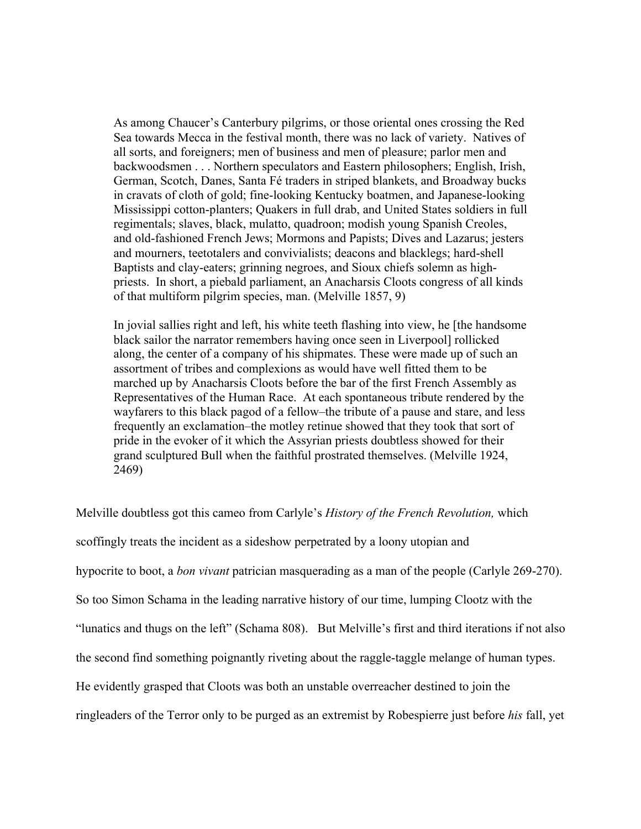As among Chaucer's Canterbury pilgrims, or those oriental ones crossing the Red Sea towards Mecca in the festival month, there was no lack of variety. Natives of all sorts, and foreigners; men of business and men of pleasure; parlor men and backwoodsmen . . . Northern speculators and Eastern philosophers; English, Irish, German, Scotch, Danes, Santa Fé traders in striped blankets, and Broadway bucks in cravats of cloth of gold; fine-looking Kentucky boatmen, and Japanese-looking Mississippi cotton-planters; Quakers in full drab, and United States soldiers in full regimentals; slaves, black, mulatto, quadroon; modish young Spanish Creoles, and old-fashioned French Jews; Mormons and Papists; Dives and Lazarus; jesters and mourners, teetotalers and convivialists; deacons and blacklegs; hard-shell Baptists and clay-eaters; grinning negroes, and Sioux chiefs solemn as highpriests. In short, a piebald parliament, an Anacharsis Cloots congress of all kinds of that multiform pilgrim species, man. (Melville 1857, 9)

In jovial sallies right and left, his white teeth flashing into view, he [the handsome black sailor the narrator remembers having once seen in Liverpool] rollicked along, the center of a company of his shipmates. These were made up of such an assortment of tribes and complexions as would have well fitted them to be marched up by Anacharsis Cloots before the bar of the first French Assembly as Representatives of the Human Race. At each spontaneous tribute rendered by the wayfarers to this black pagod of a fellow–the tribute of a pause and stare, and less frequently an exclamation–the motley retinue showed that they took that sort of pride in the evoker of it which the Assyrian priests doubtless showed for their grand sculptured Bull when the faithful prostrated themselves. (Melville 1924, 2469)

Melville doubtless got this cameo from Carlyle's *History of the French Revolution,* which scoffingly treats the incident as a sideshow perpetrated by a loony utopian and hypocrite to boot, a *bon vivant* patrician masquerading as a man of the people (Carlyle 269-270). So too Simon Schama in the leading narrative history of our time, lumping Clootz with the "lunatics and thugs on the left" (Schama 808). But Melville's first and third iterations if not also the second find something poignantly riveting about the raggle-taggle melange of human types. He evidently grasped that Cloots was both an unstable overreacher destined to join the ringleaders of the Terror only to be purged as an extremist by Robespierre just before *his* fall, yet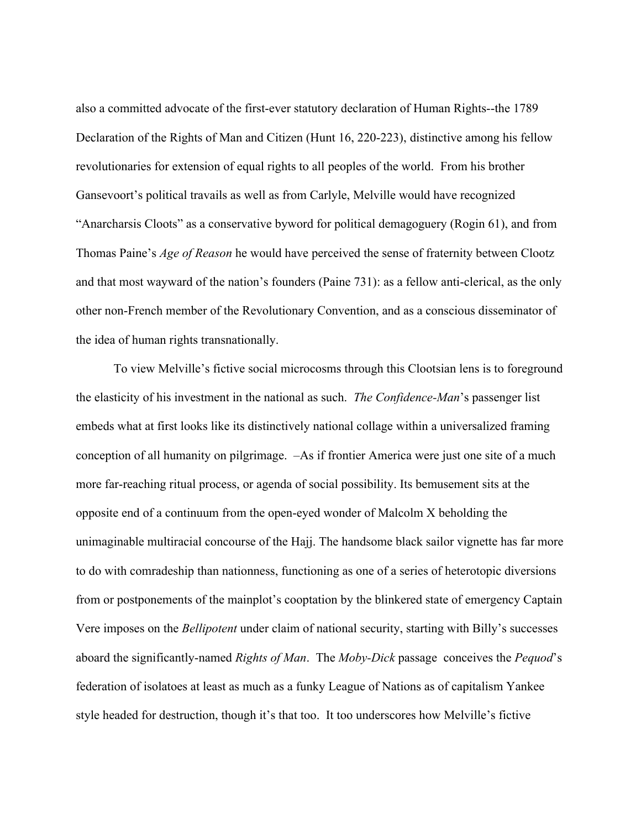also a committed advocate of the first-ever statutory declaration of Human Rights--the 1789 Declaration of the Rights of Man and Citizen (Hunt 16, 220-223), distinctive among his fellow revolutionaries for extension of equal rights to all peoples of the world. From his brother Gansevoort's political travails as well as from Carlyle, Melville would have recognized "Anarcharsis Cloots" as a conservative byword for political demagoguery (Rogin 61), and from Thomas Paine's *Age of Reason* he would have perceived the sense of fraternity between Clootz and that most wayward of the nation's founders (Paine 731): as a fellow anti-clerical, as the only other non-French member of the Revolutionary Convention, and as a conscious disseminator of the idea of human rights transnationally.

To view Melville's fictive social microcosms through this Clootsian lens is to foreground the elasticity of his investment in the national as such. *The Confidence-Man*'s passenger list embeds what at first looks like its distinctively national collage within a universalized framing conception of all humanity on pilgrimage. –As if frontier America were just one site of a much more far-reaching ritual process, or agenda of social possibility. Its bemusement sits at the opposite end of a continuum from the open-eyed wonder of Malcolm X beholding the unimaginable multiracial concourse of the Hajj. The handsome black sailor vignette has far more to do with comradeship than nationness, functioning as one of a series of heterotopic diversions from or postponements of the mainplot's cooptation by the blinkered state of emergency Captain Vere imposes on the *Bellipotent* under claim of national security, starting with Billy's successes aboard the significantly-named *Rights of Man*.The *Moby-Dick* passage conceives the *Pequod*'s federation of isolatoes at least as much as a funky League of Nations as of capitalism Yankee style headed for destruction, though it's that too. It too underscores how Melville's fictive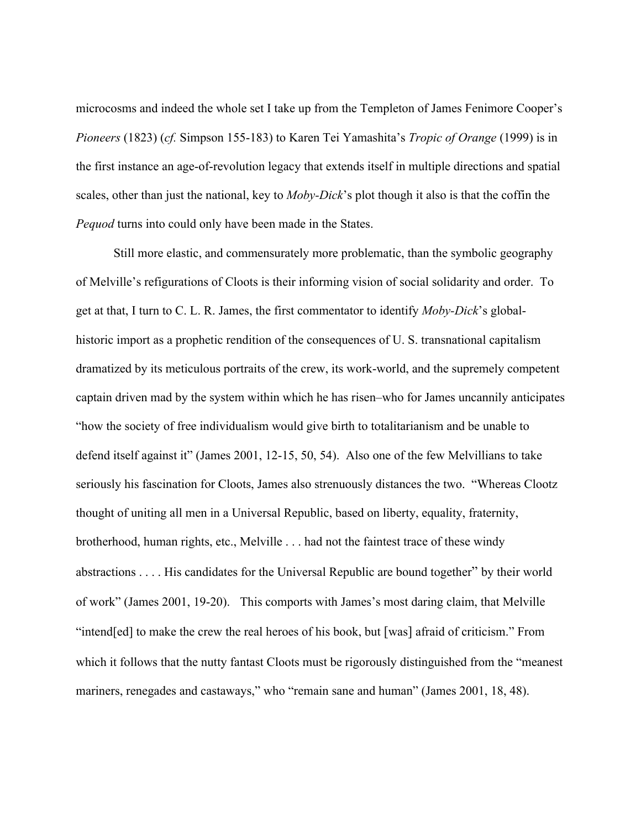microcosms and indeed the whole set I take up from the Templeton of James Fenimore Cooper's *Pioneers* (1823) (*cf.* Simpson 155-183) to Karen Tei Yamashita's *Tropic of Orange* (1999) is in the first instance an age-of-revolution legacy that extends itself in multiple directions and spatial scales, other than just the national, key to *Moby-Dick*'s plot though it also is that the coffin the *Pequod* turns into could only have been made in the States.

Still more elastic, and commensurately more problematic, than the symbolic geography of Melville's refigurations of Cloots is their informing vision of social solidarity and order. To get at that, I turn to C. L. R. James, the first commentator to identify *Moby-Dick*'s globalhistoric import as a prophetic rendition of the consequences of U. S. transnational capitalism dramatized by its meticulous portraits of the crew, its work-world, and the supremely competent captain driven mad by the system within which he has risen–who for James uncannily anticipates "how the society of free individualism would give birth to totalitarianism and be unable to defend itself against it" (James 2001, 12-15, 50, 54). Also one of the few Melvillians to take seriously his fascination for Cloots, James also strenuously distances the two. "Whereas Clootz thought of uniting all men in a Universal Republic, based on liberty, equality, fraternity, brotherhood, human rights, etc., Melville . . . had not the faintest trace of these windy abstractions . . . . His candidates for the Universal Republic are bound together" by their world of work" (James 2001, 19-20). This comports with James's most daring claim, that Melville "intend[ed] to make the crew the real heroes of his book, but [was] afraid of criticism." From which it follows that the nutty fantast Cloots must be rigorously distinguished from the "meanest mariners, renegades and castaways," who "remain sane and human" (James 2001, 18, 48).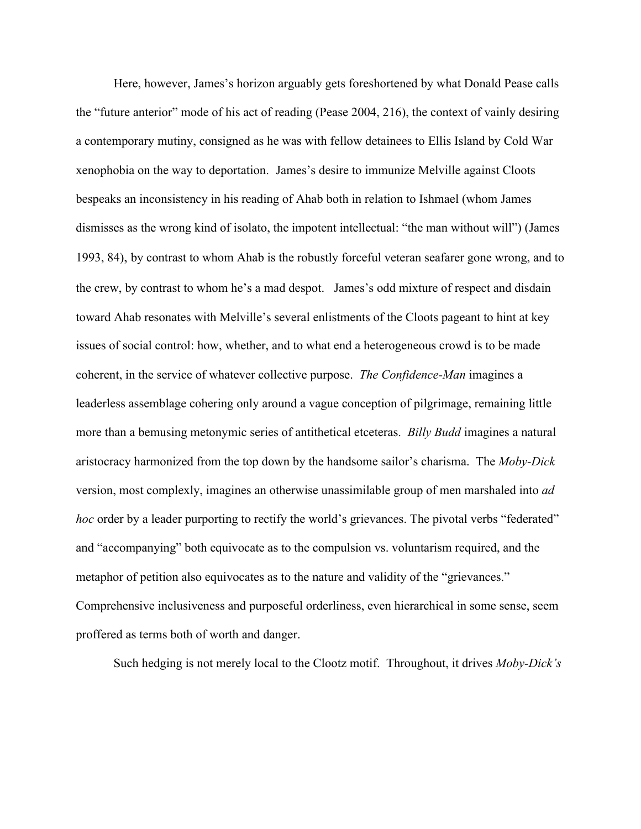Here, however, James's horizon arguably gets foreshortened by what Donald Pease calls the "future anterior" mode of his act of reading (Pease 2004, 216), the context of vainly desiring a contemporary mutiny, consigned as he was with fellow detainees to Ellis Island by Cold War xenophobia on the way to deportation. James's desire to immunize Melville against Cloots bespeaks an inconsistency in his reading of Ahab both in relation to Ishmael (whom James dismisses as the wrong kind of isolato, the impotent intellectual: "the man without will") (James 1993, 84), by contrast to whom Ahab is the robustly forceful veteran seafarer gone wrong, and to the crew, by contrast to whom he's a mad despot. James's odd mixture of respect and disdain toward Ahab resonates with Melville's several enlistments of the Cloots pageant to hint at key issues of social control: how, whether, and to what end a heterogeneous crowd is to be made coherent, in the service of whatever collective purpose. *The Confidence-Man* imagines a leaderless assemblage cohering only around a vague conception of pilgrimage, remaining little more than a bemusing metonymic series of antithetical etceteras. *Billy Budd* imagines a natural aristocracy harmonized from the top down by the handsome sailor's charisma. The *Moby-Dick*  version, most complexly, imagines an otherwise unassimilable group of men marshaled into *ad hoc* order by a leader purporting to rectify the world's grievances. The pivotal verbs "federated" and "accompanying" both equivocate as to the compulsion vs. voluntarism required, and the metaphor of petition also equivocates as to the nature and validity of the "grievances." Comprehensive inclusiveness and purposeful orderliness, even hierarchical in some sense, seem proffered as terms both of worth and danger.

Such hedging is not merely local to the Clootz motif. Throughout, it drives *Moby-Dick's*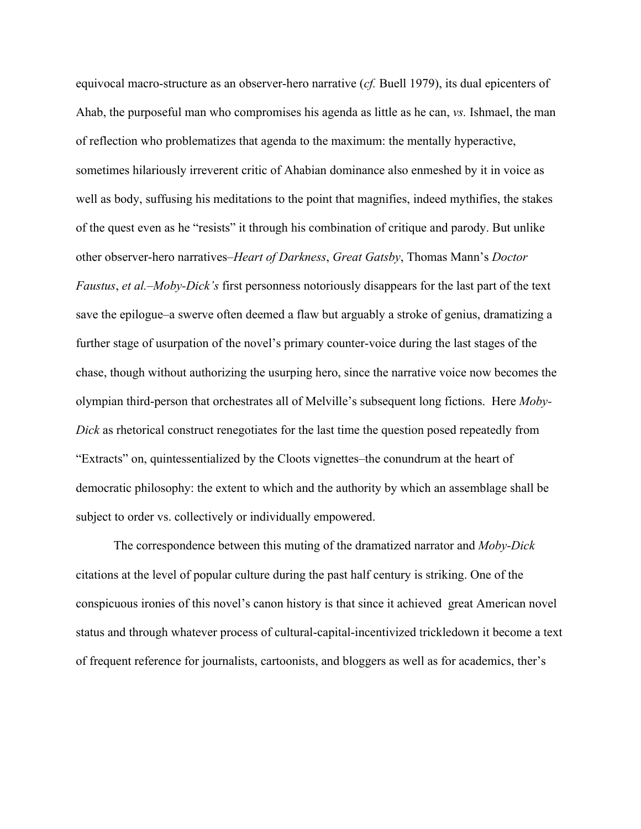equivocal macro-structure as an observer-hero narrative (*cf.* Buell 1979), its dual epicenters of Ahab, the purposeful man who compromises his agenda as little as he can, *vs.* Ishmael, the man of reflection who problematizes that agenda to the maximum: the mentally hyperactive, sometimes hilariously irreverent critic of Ahabian dominance also enmeshed by it in voice as well as body, suffusing his meditations to the point that magnifies, indeed mythifies, the stakes of the quest even as he "resists" it through his combination of critique and parody. But unlike other observer-hero narratives–*Heart of Darkness*, *Great Gatsby*, Thomas Mann's *Doctor Faustus*, *et al.–Moby-Dick's* first personness notoriously disappears for the last part of the text save the epilogue–a swerve often deemed a flaw but arguably a stroke of genius, dramatizing a further stage of usurpation of the novel's primary counter-voice during the last stages of the chase, though without authorizing the usurping hero, since the narrative voice now becomes the olympian third-person that orchestrates all of Melville's subsequent long fictions. Here *Moby-Dick* as rhetorical construct renegotiates for the last time the question posed repeatedly from "Extracts" on, quintessentialized by the Cloots vignettes–the conundrum at the heart of democratic philosophy: the extent to which and the authority by which an assemblage shall be subject to order vs. collectively or individually empowered.

The correspondence between this muting of the dramatized narrator and *Moby-Dick*  citations at the level of popular culture during the past half century is striking. One of the conspicuous ironies of this novel's canon history is that since it achieved great American novel status and through whatever process of cultural-capital-incentivized trickledown it become a text of frequent reference for journalists, cartoonists, and bloggers as well as for academics, ther's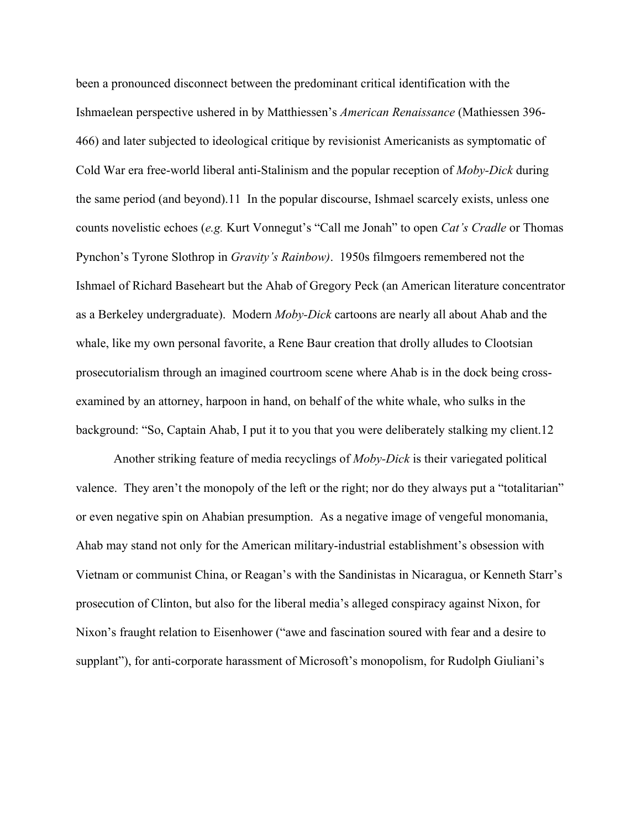been a pronounced disconnect between the predominant critical identification with the Ishmaelean perspective ushered in by Matthiessen's *American Renaissance* (Mathiessen 396- 466) and later subjected to ideological critique by revisionist Americanists as symptomatic of Cold War era free-world liberal anti-Stalinism and the popular reception of *Moby-Dick* during the same period (and beyond).11 In the popular discourse, Ishmael scarcely exists, unless one counts novelistic echoes (*e.g.* Kurt Vonnegut's "Call me Jonah" to open *Cat's Cradle* or Thomas Pynchon's Tyrone Slothrop in *Gravity's Rainbow)*. 1950s filmgoers remembered not the Ishmael of Richard Baseheart but the Ahab of Gregory Peck (an American literature concentrator as a Berkeley undergraduate). Modern *Moby-Dick* cartoons are nearly all about Ahab and the whale, like my own personal favorite, a Rene Baur creation that drolly alludes to Clootsian prosecutorialism through an imagined courtroom scene where Ahab is in the dock being crossexamined by an attorney, harpoon in hand, on behalf of the white whale, who sulks in the background: "So, Captain Ahab, I put it to you that you were deliberately stalking my client.12

Another striking feature of media recyclings of *Moby-Dick* is their variegated political valence. They aren't the monopoly of the left or the right; nor do they always put a "totalitarian" or even negative spin on Ahabian presumption. As a negative image of vengeful monomania, Ahab may stand not only for the American military-industrial establishment's obsession with Vietnam or communist China, or Reagan's with the Sandinistas in Nicaragua, or Kenneth Starr's prosecution of Clinton, but also for the liberal media's alleged conspiracy against Nixon, for Nixon's fraught relation to Eisenhower ("awe and fascination soured with fear and a desire to supplant"), for anti-corporate harassment of Microsoft's monopolism, for Rudolph Giuliani's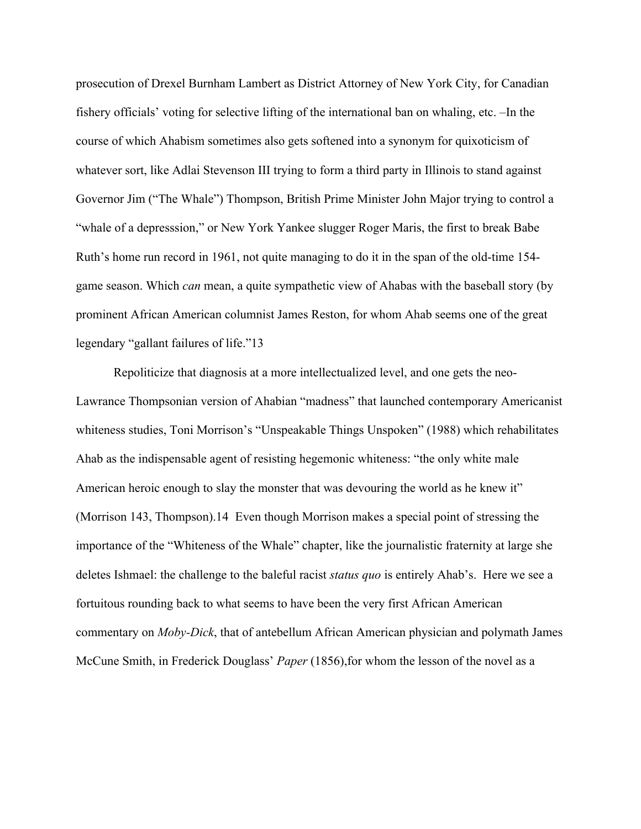prosecution of Drexel Burnham Lambert as District Attorney of New York City, for Canadian fishery officials' voting for selective lifting of the international ban on whaling, etc. –In the course of which Ahabism sometimes also gets softened into a synonym for quixoticism of whatever sort, like Adlai Stevenson III trying to form a third party in Illinois to stand against Governor Jim ("The Whale") Thompson, British Prime Minister John Major trying to control a "whale of a depresssion," or New York Yankee slugger Roger Maris, the first to break Babe Ruth's home run record in 1961, not quite managing to do it in the span of the old-time 154 game season. Which *can* mean, a quite sympathetic view of Ahabas with the baseball story (by prominent African American columnist James Reston, for whom Ahab seems one of the great legendary "gallant failures of life."13

Repoliticize that diagnosis at a more intellectualized level, and one gets the neo-Lawrance Thompsonian version of Ahabian "madness" that launched contemporary Americanist whiteness studies, Toni Morrison's "Unspeakable Things Unspoken" (1988) which rehabilitates Ahab as the indispensable agent of resisting hegemonic whiteness: "the only white male American heroic enough to slay the monster that was devouring the world as he knew it" (Morrison 143, Thompson).14 Even though Morrison makes a special point of stressing the importance of the "Whiteness of the Whale" chapter, like the journalistic fraternity at large she deletes Ishmael: the challenge to the baleful racist *status quo* is entirely Ahab's. Here we see a fortuitous rounding back to what seems to have been the very first African American commentary on *Moby-Dick*, that of antebellum African American physician and polymath James McCune Smith, in Frederick Douglass' *Paper* (1856),for whom the lesson of the novel as a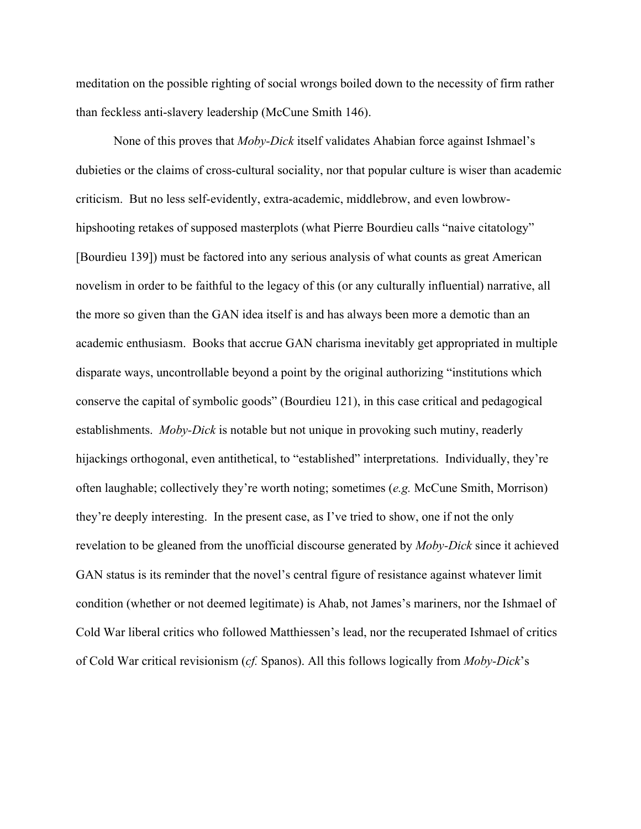meditation on the possible righting of social wrongs boiled down to the necessity of firm rather than feckless anti-slavery leadership (McCune Smith 146).

None of this proves that *Moby-Dick* itself validates Ahabian force against Ishmael's dubieties or the claims of cross-cultural sociality, nor that popular culture is wiser than academic criticism. But no less self-evidently, extra-academic, middlebrow, and even lowbrowhipshooting retakes of supposed masterplots (what Pierre Bourdieu calls "naive citatology" [Bourdieu 139]) must be factored into any serious analysis of what counts as great American novelism in order to be faithful to the legacy of this (or any culturally influential) narrative, all the more so given than the GAN idea itself is and has always been more a demotic than an academic enthusiasm. Books that accrue GAN charisma inevitably get appropriated in multiple disparate ways, uncontrollable beyond a point by the original authorizing "institutions which conserve the capital of symbolic goods" (Bourdieu 121), in this case critical and pedagogical establishments. *Moby-Dick* is notable but not unique in provoking such mutiny, readerly hijackings orthogonal, even antithetical, to "established" interpretations. Individually, they're often laughable; collectively they're worth noting; sometimes (*e.g.* McCune Smith, Morrison) they're deeply interesting. In the present case, as I've tried to show, one if not the only revelation to be gleaned from the unofficial discourse generated by *Moby-Dick* since it achieved GAN status is its reminder that the novel's central figure of resistance against whatever limit condition (whether or not deemed legitimate) is Ahab, not James's mariners, nor the Ishmael of Cold War liberal critics who followed Matthiessen's lead, nor the recuperated Ishmael of critics of Cold War critical revisionism (*cf.* Spanos). All this follows logically from *Moby-Dick*'s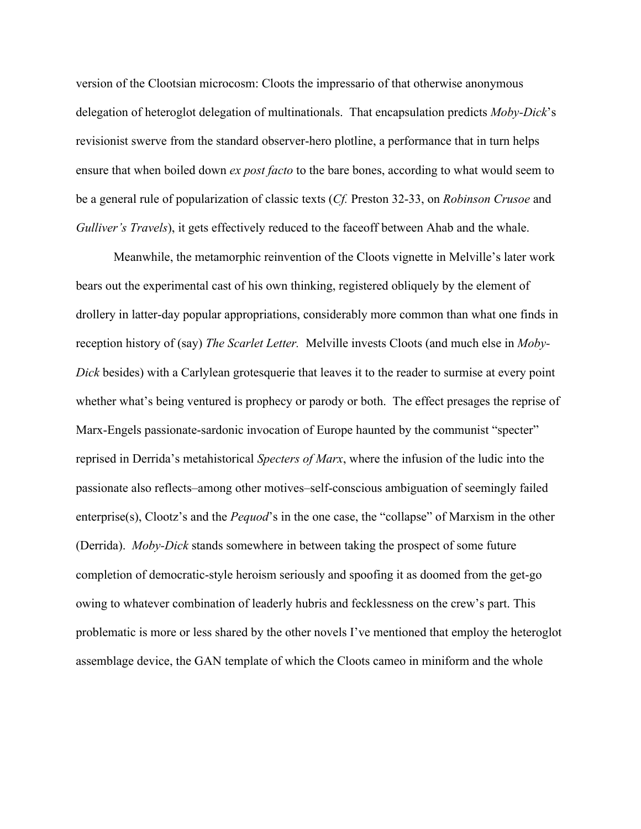version of the Clootsian microcosm: Cloots the impressario of that otherwise anonymous delegation of heteroglot delegation of multinationals. That encapsulation predicts *Moby-Dick*'s revisionist swerve from the standard observer-hero plotline, a performance that in turn helps ensure that when boiled down *ex post facto* to the bare bones, according to what would seem to be a general rule of popularization of classic texts (*Cf.* Preston 32-33, on *Robinson Crusoe* and *Gulliver's Travels*), it gets effectively reduced to the faceoff between Ahab and the whale.

Meanwhile, the metamorphic reinvention of the Cloots vignette in Melville's later work bears out the experimental cast of his own thinking, registered obliquely by the element of drollery in latter-day popular appropriations, considerably more common than what one finds in reception history of (say) *The Scarlet Letter.* Melville invests Cloots (and much else in *Moby-Dick* besides) with a Carlylean grotesquerie that leaves it to the reader to surmise at every point whether what's being ventured is prophecy or parody or both. The effect presages the reprise of Marx-Engels passionate-sardonic invocation of Europe haunted by the communist "specter" reprised in Derrida's metahistorical *Specters of Marx*, where the infusion of the ludic into the passionate also reflects–among other motives–self-conscious ambiguation of seemingly failed enterprise(s), Clootz's and the *Pequod*'s in the one case, the "collapse" of Marxism in the other (Derrida). *Moby-Dick* stands somewhere in between taking the prospect of some future completion of democratic-style heroism seriously and spoofing it as doomed from the get-go owing to whatever combination of leaderly hubris and fecklessness on the crew's part. This problematic is more or less shared by the other novels I've mentioned that employ the heteroglot assemblage device, the GAN template of which the Cloots cameo in miniform and the whole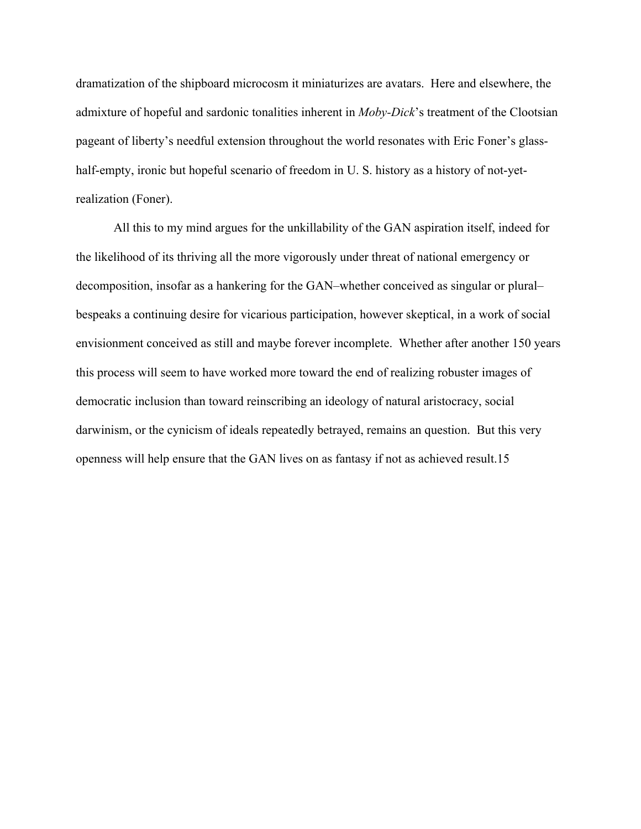dramatization of the shipboard microcosm it miniaturizes are avatars. Here and elsewhere, the admixture of hopeful and sardonic tonalities inherent in *Moby-Dick*'s treatment of the Clootsian pageant of liberty's needful extension throughout the world resonates with Eric Foner's glasshalf-empty, ironic but hopeful scenario of freedom in U. S. history as a history of not-yetrealization (Foner).

All this to my mind argues for the unkillability of the GAN aspiration itself, indeed for the likelihood of its thriving all the more vigorously under threat of national emergency or decomposition, insofar as a hankering for the GAN–whether conceived as singular or plural– bespeaks a continuing desire for vicarious participation, however skeptical, in a work of social envisionment conceived as still and maybe forever incomplete. Whether after another 150 years this process will seem to have worked more toward the end of realizing robuster images of democratic inclusion than toward reinscribing an ideology of natural aristocracy, social darwinism, or the cynicism of ideals repeatedly betrayed, remains an question. But this very openness will help ensure that the GAN lives on as fantasy if not as achieved result.15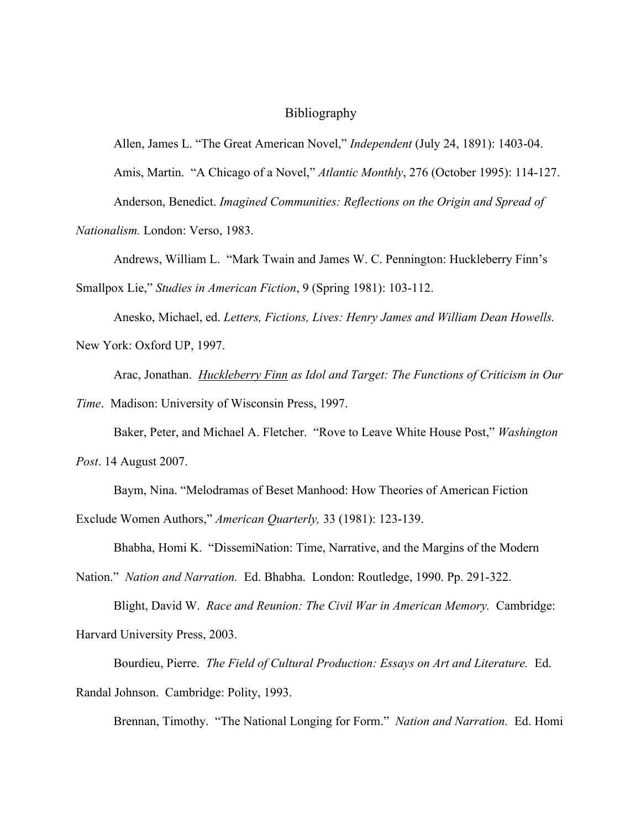### Bibliography

Allen, James L. "The Great American Novel," *Independent* (July 24, 1891): 1403-04. Amis, Martin. "A Chicago of a Novel," *Atlantic Monthly*, 276 (October 1995): 114-127. Anderson, Benedict. *Imagined Communities: Reflections on the Origin and Spread of* 

*Nationalism.* London: Verso, 1983.

Andrews, William L. "Mark Twain and James W. C. Pennington: Huckleberry Finn's Smallpox Lie," *Studies in American Fiction*, 9 (Spring 1981): 103-112.

Anesko, Michael, ed. *Letters, Fictions, Lives: Henry James and William Dean Howells.*  New York: Oxford UP, 1997.

Arac, Jonathan. *Huckleberry Finn as Idol and Target: The Functions of Criticism in Our Time*. Madison: University of Wisconsin Press, 1997.

Baker, Peter, and Michael A. Fletcher. "Rove to Leave White House Post," *Washington Post*. 14 August 2007.

Baym, Nina. "Melodramas of Beset Manhood: How Theories of American Fiction Exclude Women Authors," *American Quarterly,* 33 (1981): 123-139.

Bhabha, Homi K. "DissemiNation: Time, Narrative, and the Margins of the Modern

Nation." *Nation and Narration.* Ed. Bhabha. London: Routledge, 1990. Pp. 291-322.

Blight, David W. *Race and Reunion: The Civil War in American Memory.* Cambridge: Harvard University Press, 2003.

Bourdieu, Pierre. *The Field of Cultural Production: Essays on Art and Literature.* Ed. Randal Johnson. Cambridge: Polity, 1993.

Brennan, Timothy. "The National Longing for Form." *Nation and Narration.* Ed. Homi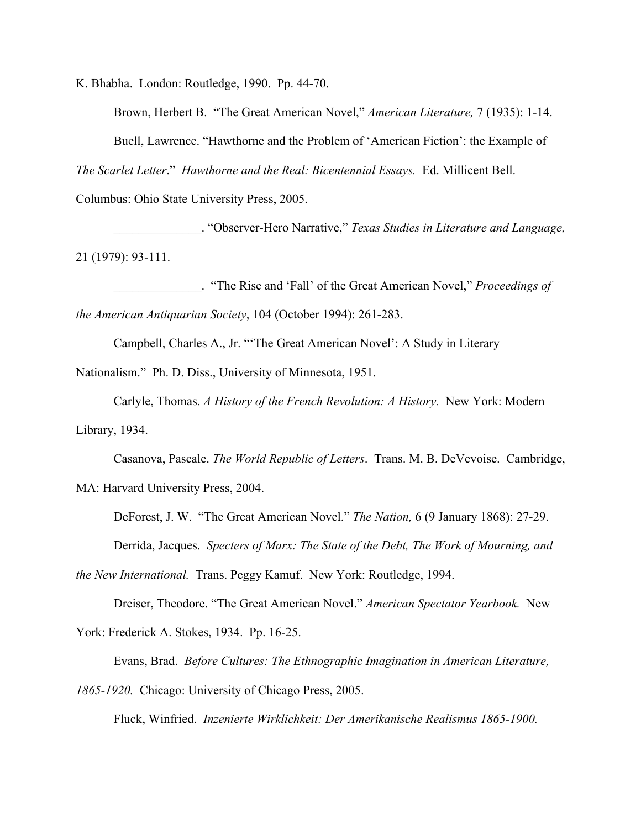K. Bhabha. London: Routledge, 1990. Pp. 44-70.

Brown, Herbert B. "The Great American Novel," *American Literature,* 7 (1935): 1-14.

Buell, Lawrence. "Hawthorne and the Problem of 'American Fiction': the Example of

*The Scarlet Letter*." *Hawthorne and the Real: Bicentennial Essays.* Ed. Millicent Bell.

Columbus: Ohio State University Press, 2005.

\_\_\_\_\_\_\_\_\_\_\_\_\_\_. "Observer-Hero Narrative," *Texas Studies in Literature and Language,*  21 (1979): 93-111.

\_\_\_\_\_\_\_\_\_\_\_\_\_\_. "The Rise and 'Fall' of the Great American Novel," *Proceedings of the American Antiquarian Society*, 104 (October 1994): 261-283.

Campbell, Charles A., Jr. "'The Great American Novel': A Study in Literary

Nationalism." Ph. D. Diss., University of Minnesota, 1951.

Carlyle, Thomas. *A History of the French Revolution: A History.* New York: Modern Library, 1934.

Casanova, Pascale. *The World Republic of Letters*. Trans. M. B. DeVevoise. Cambridge, MA: Harvard University Press, 2004.

DeForest, J. W. "The Great American Novel." *The Nation,* 6 (9 January 1868): 27-29. Derrida, Jacques. *Specters of Marx: The State of the Debt, The Work of Mourning, and* 

*the New International.* Trans. Peggy Kamuf. New York: Routledge, 1994.

Dreiser, Theodore. "The Great American Novel." *American Spectator Yearbook.* New

York: Frederick A. Stokes, 1934. Pp. 16-25.

Evans, Brad. *Before Cultures: The Ethnographic Imagination in American Literature, 1865-1920.* Chicago: University of Chicago Press, 2005.

Fluck, Winfried. *Inzenierte Wirklichkeit: Der Amerikanische Realismus 1865-1900.*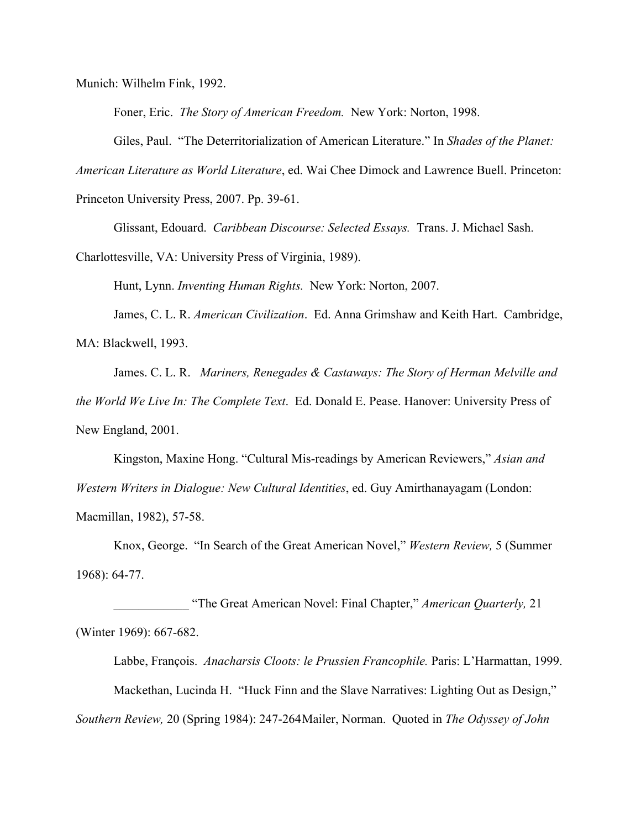Munich: Wilhelm Fink, 1992.

Foner, Eric. *The Story of American Freedom.* New York: Norton, 1998.

Giles, Paul. "The Deterritorialization of American Literature." In *Shades of the Planet:* 

*American Literature as World Literature*, ed. Wai Chee Dimock and Lawrence Buell. Princeton:

Princeton University Press, 2007. Pp. 39-61.

Glissant, Edouard. *Caribbean Discourse: Selected Essays.* Trans. J. Michael Sash.

Charlottesville, VA: University Press of Virginia, 1989).

Hunt, Lynn. *Inventing Human Rights.* New York: Norton, 2007.

James, C. L. R. *American Civilization*. Ed. Anna Grimshaw and Keith Hart. Cambridge, MA: Blackwell, 1993.

James. C. L. R. *Mariners, Renegades & Castaways: The Story of Herman Melville and the World We Live In: The Complete Text*. Ed. Donald E. Pease. Hanover: University Press of New England, 2001.

Kingston, Maxine Hong. "Cultural Mis-readings by American Reviewers," *Asian and Western Writers in Dialogue: New Cultural Identities*, ed. Guy Amirthanayagam (London: Macmillan, 1982), 57-58.

Knox, George. "In Search of the Great American Novel," *Western Review,* 5 (Summer 1968): 64-77.

\_\_\_\_\_\_\_\_\_\_\_\_ "The Great American Novel: Final Chapter," *American Quarterly,* 21 (Winter 1969): 667-682.

Labbe, François. *Anacharsis Cloots: le Prussien Francophile.* Paris: L'Harmattan, 1999. Mackethan, Lucinda H. "Huck Finn and the Slave Narratives: Lighting Out as Design," *Southern Review,* 20 (Spring 1984): 247-264Mailer, Norman. Quoted in *The Odyssey of John*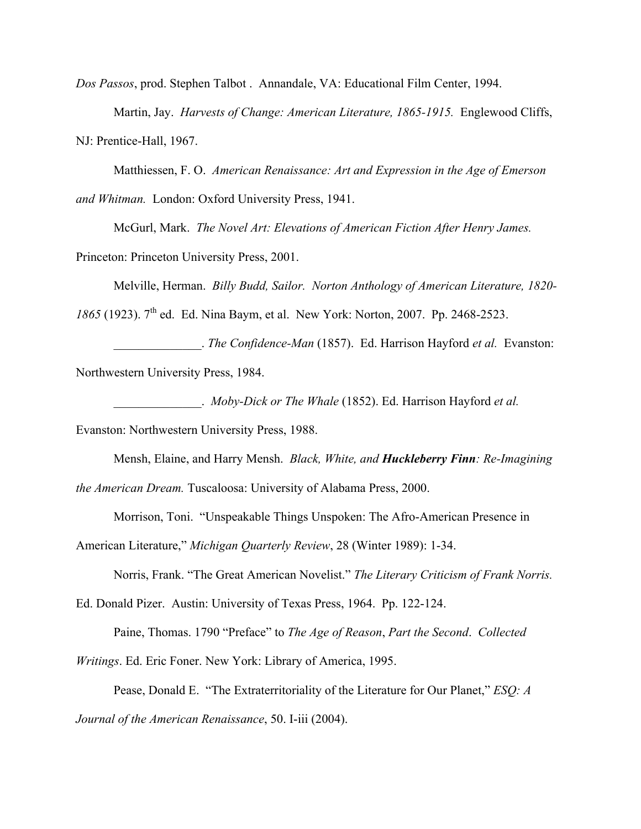*Dos Passos*, prod. Stephen Talbot . Annandale, VA: Educational Film Center, 1994.

Martin, Jay. *Harvests of Change: American Literature, 1865-1915.* Englewood Cliffs, NJ: Prentice-Hall, 1967.

Matthiessen, F. O. *American Renaissance: Art and Expression in the Age of Emerson and Whitman.* London: Oxford University Press, 1941.

McGurl, Mark. *The Novel Art: Elevations of American Fiction After Henry James.*  Princeton: Princeton University Press, 2001.

Melville, Herman. *Billy Budd, Sailor. Norton Anthology of American Literature, 1820-*

*1865* (1923). 7<sup>th</sup> ed. Ed. Nina Baym, et al. New York: Norton, 2007. Pp. 2468-2523.

\_\_\_\_\_\_\_\_\_\_\_\_\_\_. *The Confidence-Man* (1857). Ed. Harrison Hayford *et al.* Evanston: Northwestern University Press, 1984.

\_\_\_\_\_\_\_\_\_\_\_\_\_\_. *Moby-Dick or The Whale* (1852). Ed. Harrison Hayford *et al.* 

Evanston: Northwestern University Press, 1988.

Mensh, Elaine, and Harry Mensh. *Black, White, and Huckleberry Finn: Re-Imagining the American Dream.* Tuscaloosa: University of Alabama Press, 2000.

Morrison, Toni. "Unspeakable Things Unspoken: The Afro-American Presence in

American Literature," *Michigan Quarterly Review*, 28 (Winter 1989): 1-34.

Norris, Frank. "The Great American Novelist." *The Literary Criticism of Frank Norris.* 

Ed. Donald Pizer. Austin: University of Texas Press, 1964. Pp. 122-124.

Paine, Thomas. 1790 "Preface" to *The Age of Reason*, *Part the Second*. *Collected* 

*Writings*. Ed. Eric Foner. New York: Library of America, 1995.

Pease, Donald E. "The Extraterritoriality of the Literature for Our Planet," *ESQ: A Journal of the American Renaissance*, 50. I-iii (2004).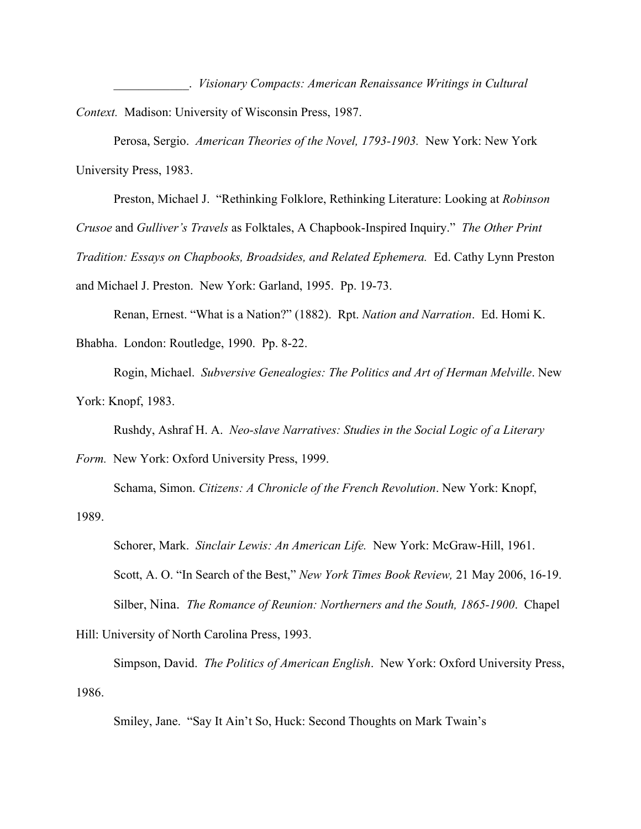\_\_\_\_\_\_\_\_\_\_\_\_. *Visionary Compacts: American Renaissance Writings in Cultural Context.* Madison: University of Wisconsin Press, 1987.

Perosa, Sergio. *American Theories of the Novel, 1793-1903.* New York: New York University Press, 1983.

Preston, Michael J. "Rethinking Folklore, Rethinking Literature: Looking at *Robinson Crusoe* and *Gulliver's Travels* as Folktales, A Chapbook-Inspired Inquiry." *The Other Print Tradition: Essays on Chapbooks, Broadsides, and Related Ephemera.* Ed. Cathy Lynn Preston and Michael J. Preston. New York: Garland, 1995. Pp. 19-73.

Renan, Ernest. "What is a Nation?" (1882). Rpt. *Nation and Narration*. Ed. Homi K. Bhabha. London: Routledge, 1990. Pp. 8-22.

Rogin, Michael. *Subversive Genealogies: The Politics and Art of Herman Melville*. New York: Knopf, 1983.

Rushdy, Ashraf H. A. *Neo-slave Narratives: Studies in the Social Logic of a Literary* 

*Form.* New York: Oxford University Press, 1999. Schama, Simon. *Citizens: A Chronicle of the French Revolution*. New York: Knopf, 1989.

Schorer, Mark. *Sinclair Lewis: An American Life.* New York: McGraw-Hill, 1961. Scott, A. O. "In Search of the Best," *New York Times Book Review,* 21 May 2006, 16-19. Silber, Nina. *The Romance of Reunion: Northerners and the South, 1865-1900*. Chapel

Hill: University of North Carolina Press, 1993.

Simpson, David. *The Politics of American English*. New York: Oxford University Press, 1986.

Smiley, Jane. "Say It Ain't So, Huck: Second Thoughts on Mark Twain's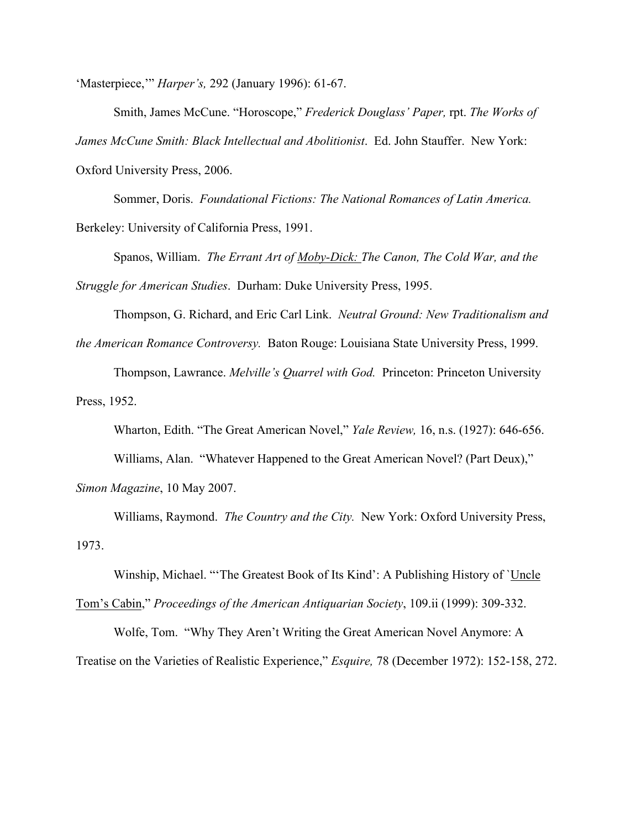'Masterpiece,'" *Harper's,* 292 (January 1996): 61-67.

Smith, James McCune. "Horoscope," *Frederick Douglass' Paper,* rpt. *The Works of James McCune Smith: Black Intellectual and Abolitionist*. Ed. John Stauffer. New York: Oxford University Press, 2006.

Sommer, Doris. *Foundational Fictions: The National Romances of Latin America.*  Berkeley: University of California Press, 1991.

Spanos, William. *The Errant Art of Moby-Dick: The Canon, The Cold War, and the Struggle for American Studies*. Durham: Duke University Press, 1995.

Thompson, G. Richard, and Eric Carl Link. *Neutral Ground: New Traditionalism and the American Romance Controversy.* Baton Rouge: Louisiana State University Press, 1999.

Thompson, Lawrance. *Melville's Quarrel with God.* Princeton: Princeton University Press, 1952.

Wharton, Edith. "The Great American Novel," *Yale Review,* 16, n.s. (1927): 646-656.

Williams, Alan. "Whatever Happened to the Great American Novel? (Part Deux),"

*Simon Magazine*, 10 May 2007.

Williams, Raymond. *The Country and the City.* New York: Oxford University Press, 1973.

Winship, Michael. "'The Greatest Book of Its Kind': A Publishing History of `Uncle

Tom's Cabin," *Proceedings of the American Antiquarian Society*, 109.ii (1999): 309-332.

Wolfe, Tom. "Why They Aren't Writing the Great American Novel Anymore: A Treatise on the Varieties of Realistic Experience," *Esquire,* 78 (December 1972): 152-158, 272.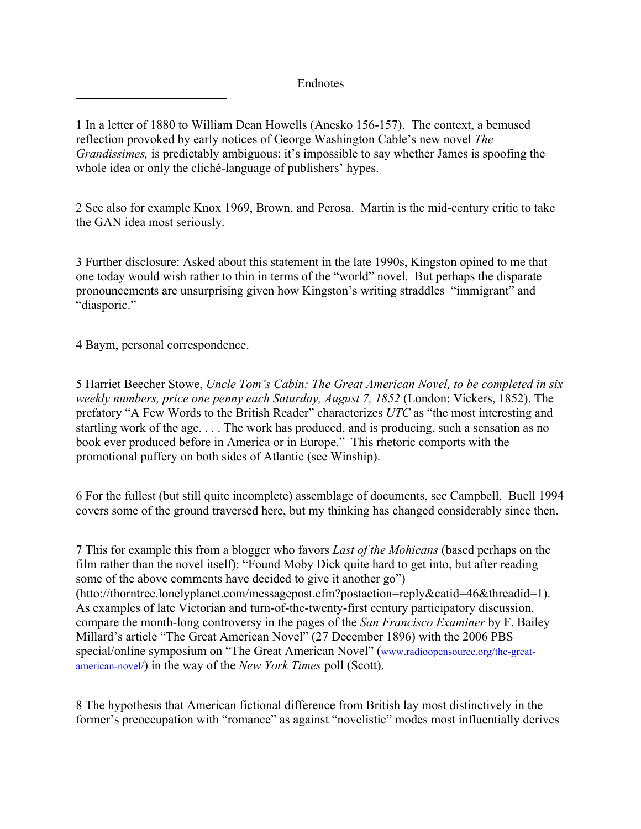Endnotes

1 In a letter of 1880 to William Dean Howells (Anesko 156-157). The context, a bemused reflection provoked by early notices of George Washington Cable's new novel *The Grandissimes,* is predictably ambiguous: it's impossible to say whether James is spoofing the whole idea or only the cliché-language of publishers' hypes.

2 See also for example Knox 1969, Brown, and Perosa. Martin is the mid-century critic to take the GAN idea most seriously.

3 Further disclosure: Asked about this statement in the late 1990s, Kingston opined to me that one today would wish rather to thin in terms of the "world" novel. But perhaps the disparate pronouncements are unsurprising given how Kingston's writing straddles "immigrant" and "diasporic."

4 Baym, personal correspondence.

 $\overline{a}$ 

5 Harriet Beecher Stowe, *Uncle Tom's Cabin: The Great American Novel, to be completed in six weekly numbers, price one penny each Saturday, August 7, 1852* (London: Vickers, 1852). The prefatory "A Few Words to the British Reader" characterizes *UTC* as "the most interesting and startling work of the age. . . . The work has produced, and is producing, such a sensation as no book ever produced before in America or in Europe." This rhetoric comports with the promotional puffery on both sides of Atlantic (see Winship).

6 For the fullest (but still quite incomplete) assemblage of documents, see Campbell. Buell 1994 covers some of the ground traversed here, but my thinking has changed considerably since then.

7 This for example this from a blogger who favors *Last of the Mohicans* (based perhaps on the film rather than the novel itself): "Found Moby Dick quite hard to get into, but after reading some of the above comments have decided to give it another go") (htto://thorntree.lonelyplanet.com/messagepost.cfm?postaction=reply&catid=46&threadid=1). As examples of late Victorian and turn-of-the-twenty-first century participatory discussion, compare the month-long controversy in the pages of the *San Francisco Examiner* by F. Bailey Millard's article "The Great American Novel" (27 December 1896) with the 2006 PBS special/online symposium on "The Great American Novel" (www.radioopensource.org/the-greatamerican-novel/) in the way of the *New York Times* poll (Scott).

8 The hypothesis that American fictional difference from British lay most distinctively in the former's preoccupation with "romance" as against "novelistic" modes most influentially derives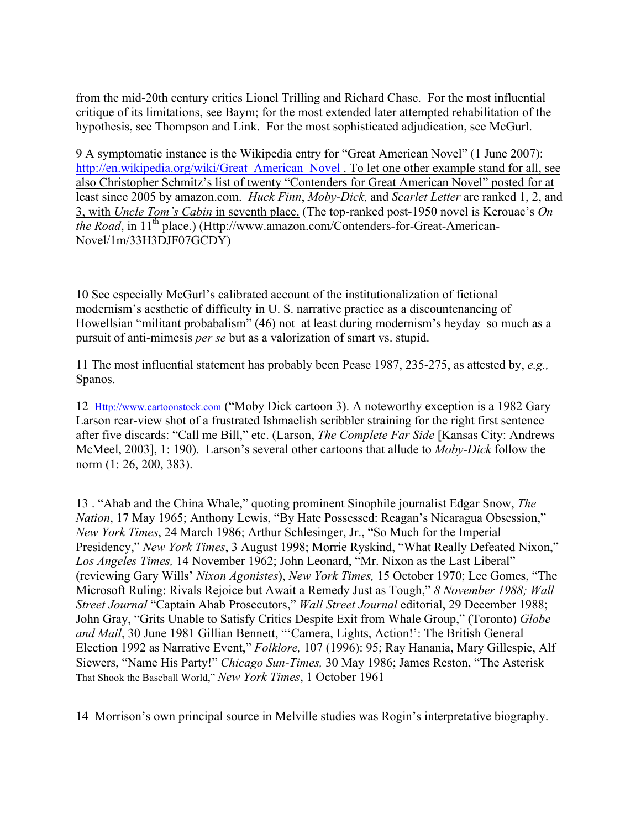$\overline{a}$ from the mid-20th century critics Lionel Trilling and Richard Chase. For the most influential critique of its limitations, see Baym; for the most extended later attempted rehabilitation of the hypothesis, see Thompson and Link. For the most sophisticated adjudication, see McGurl.

9 A symptomatic instance is the Wikipedia entry for "Great American Novel" (1 June 2007): http://en.wikipedia.org/wiki/Great\_American\_Novel . To let one other example stand for all, see also Christopher Schmitz's list of twenty "Contenders for Great American Novel" posted for at least since 2005 by amazon.com. *Huck Finn*, *Moby-Dick,* and *Scarlet Letter* are ranked 1, 2, and 3, with *Uncle Tom's Cabin* in seventh place. (The top-ranked post-1950 novel is Kerouac's *On the Road*, in 11<sup>th</sup> place.) (Http://www.amazon.com/Contenders-for-Great-American-Novel/1m/33H3DJF07GCDY)

10 See especially McGurl's calibrated account of the institutionalization of fictional modernism's aesthetic of difficulty in U. S. narrative practice as a discountenancing of Howellsian "militant probabalism" (46) not–at least during modernism's heyday–so much as a pursuit of anti-mimesis *per se* but as a valorization of smart vs. stupid.

11 The most influential statement has probably been Pease 1987, 235-275, as attested by, *e.g.,*  Spanos.

12 Http://www.cartoonstock.com ("Moby Dick cartoon 3). A noteworthy exception is a 1982 Gary Larson rear-view shot of a frustrated Ishmaelish scribbler straining for the right first sentence after five discards: "Call me Bill," etc. (Larson, *The Complete Far Side* [Kansas City: Andrews McMeel, 2003], 1: 190). Larson's several other cartoons that allude to *Moby-Dick* follow the norm (1: 26, 200, 383).

13 . "Ahab and the China Whale," quoting prominent Sinophile journalist Edgar Snow, *The Nation*, 17 May 1965; Anthony Lewis, "By Hate Possessed: Reagan's Nicaragua Obsession," *New York Times*, 24 March 1986; Arthur Schlesinger, Jr., "So Much for the Imperial Presidency," *New York Times*, 3 August 1998; Morrie Ryskind, "What Really Defeated Nixon," *Los Angeles Times,* 14 November 1962; John Leonard, "Mr. Nixon as the Last Liberal" (reviewing Gary Wills' *Nixon Agonistes*), *New York Times,* 15 October 1970; Lee Gomes, "The Microsoft Ruling: Rivals Rejoice but Await a Remedy Just as Tough," *8 November 1988; Wall Street Journal* "Captain Ahab Prosecutors," *Wall Street Journal* editorial, 29 December 1988; John Gray, "Grits Unable to Satisfy Critics Despite Exit from Whale Group," (Toronto) *Globe and Mail*, 30 June 1981 Gillian Bennett, "'Camera, Lights, Action!': The British General Election 1992 as Narrative Event," *Folklore,* 107 (1996): 95; Ray Hanania, Mary Gillespie, Alf Siewers, "Name His Party!" *Chicago Sun-Times,* 30 May 1986; James Reston, "The Asterisk That Shook the Baseball World," *New York Times*, 1 October 1961

14 Morrison's own principal source in Melville studies was Rogin's interpretative biography.